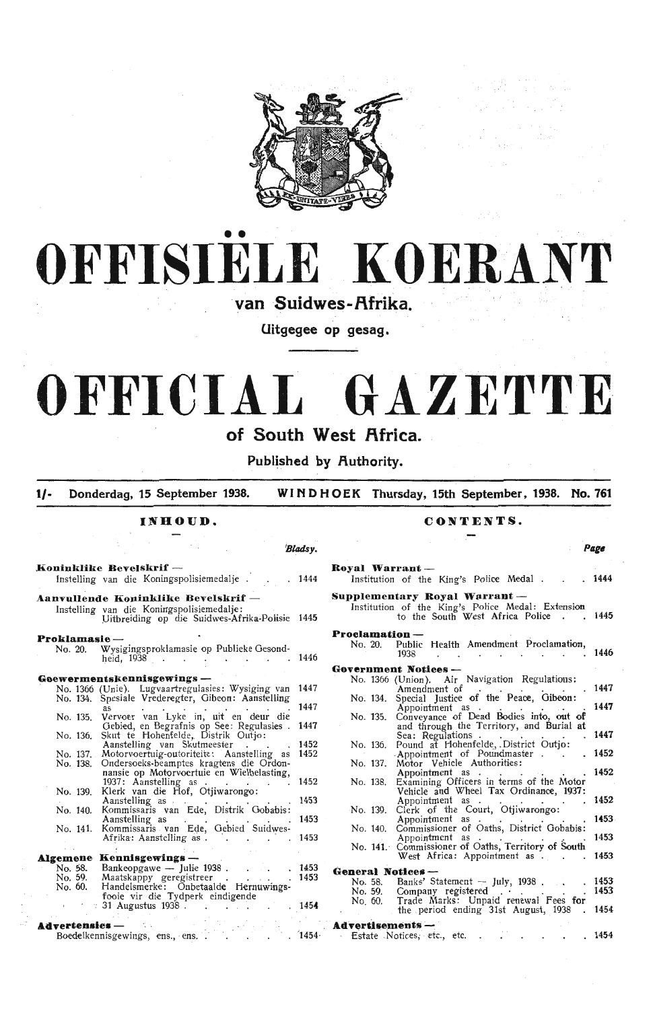



van Suidwes-Afrika

Uitgegee op gesag.

# **OFFICIAL GAZETTE**

# **of South West Africa.**

Published by Authority.

**1/-** Donderdag, 15 September 1938. WINDHOEK Thursday, 15th September, 1938. No. 761

**Blads**y

INHOUD.

|  | CONTENTS |
|--|----------|
|--|----------|

Page

| Koninklike Bevelskrif -                                                                                                            |      | Royal Warrant-<br>Instelling van die Koningspolisiemedalje 1444 Institution of the King's Police Medal 1444               |        |
|------------------------------------------------------------------------------------------------------------------------------------|------|---------------------------------------------------------------------------------------------------------------------------|--------|
| Aanvullende Koninklike Bevelskrif —<br>Instelling van die Koningspolisiemedalje:<br>Uitbreiding op die Suidwes-Afrika-Polisie 1445 |      | Supplementary Royal Warrant-<br>Institution of the King's Police Medal: Extension<br>to the South West Africa Police 1445 |        |
| Proklamasie-                                                                                                                       |      | <b>Proclamation</b> --                                                                                                    |        |
| No. 20. Wysigingsproklamasie op Publieke Gesond-<br>heid, 1938 1446                                                                |      | No. 20. Public Health Amendment Proclamation,<br>1938. 1446                                                               |        |
|                                                                                                                                    |      | <b>Government Notices ---</b>                                                                                             |        |
| Goewermentskennisgewings --<br>No. 1366 (Unie). Lugvaartregulasies: Wysiging van 1447                                              |      | No. 1366 (Union). Air Navigation Regulations:                                                                             |        |
| No. 134. Spesiale Vrederegter, Gibeon: Aanstelling                                                                                 |      | No. 134. Special Justice of the Peace, Gibeon:                                                                            |        |
| No. 135. Vervoer van Lyke in, uit en deur die                                                                                      | 1447 | Appointment as<br>No. 135. Conveyance of Dead Bodies into, out of                                                         | . 1447 |
| Gebied, en Begrafnis op See: Regulasies . 1447                                                                                     |      | and through the Territory, and Burial at                                                                                  |        |
| Skut te Hohenfelde, Distrik Outjo:<br>No. 136.<br>Aanstelling van Skutmeester                                                      | 1452 | Sea: Regulations<br>No. 136. Pound at Hohenfelde, District Outjo:                                                         |        |
| No. 137. Motorvoertuig-outoriteite: Aanstelling as 1452                                                                            |      | Appointment of Poundmaster 1452                                                                                           |        |
| No. 138. Ondersoeks-beamptes kragtens die Ordon-<br>nansie op Motorvoertuie en Wielbelasting,                                      |      | No. 137. Motor Vehicle Authorities:                                                                                       |        |
| 1937: Aanstelling as 1452                                                                                                          |      | Appointment as 1452<br>No. 138. Examining Officers in terms of the Motor                                                  |        |
| No. 139. Klerk van die Hof, Otjiwarongo:                                                                                           |      | Vehicle and Wheel Tax Ordinance, 1937:<br>Appointment as 1452                                                             |        |
| Aanstelling as 1453<br>No. 140. Kommissaris van Ede, Distrik Gobabis:                                                              |      | No. 139. Clerk of the Court, Otjiwarongo:                                                                                 |        |
| Aanstelling as<br>No. 141. Kommissaris van Ede, Gebied Suidwes-                                                                    | 1453 | Appointment as<br>No. 140. Commissioner of Oaths, District Gobabis:                                                       | . 1453 |
| Afrika: Aanstelling as 1453                                                                                                        |      | Appointment as                                                                                                            | . 1453 |
| <b>Algemene Kennisgewings</b> --                                                                                                   |      | No. 141. Commissioner of Oaths, Territory of South<br>West Africa: Appointment as 1453                                    |        |
| No. 58. Bankeopgawe - Julie 1938 1453                                                                                              |      | <b>General Notices --</b>                                                                                                 |        |
| No. 59. Maatskappy geregistreer 1453<br>Handelsmerke: Onbetaalde Hernuwings-<br>No. 60.                                            |      | Banks' Statement - July, 1938 1453<br>No. 58.                                                                             |        |
|                                                                                                                                    |      | No. 59. Company registered 1453<br>No. 60. Trade Marks: Unpaid renewal Fees for                                           |        |
| 1454 roote vir die Tydperk eindigende<br>31 Augustus 1938                                                                          |      | the period ending 31st August, 1938 . 1454                                                                                |        |
|                                                                                                                                    |      |                                                                                                                           |        |
|                                                                                                                                    |      |                                                                                                                           |        |

| Royal Warrant —           | . 1444                                                                                                                 |      |
|---------------------------|------------------------------------------------------------------------------------------------------------------------|------|
|                           | Institution of the King's Police Medal.                                                                                |      |
|                           | Supplementary Royal Warrant —<br>Institution of the King's Police Medal: Extension<br>to the South West Africa Police. | 1445 |
| Proclamation —            |                                                                                                                        |      |
| No. 20.                   | Public Health Amendment Proclamation,<br>1938                                                                          | 1446 |
|                           | Government Notices ---                                                                                                 |      |
|                           | No. 1366 (Union). Air Navigation Regulations:<br>Amendment of                                                          | 1447 |
| No. 134.                  | Special Justice of the Peace, Gibeon:                                                                                  |      |
| No. 135.                  | Appointment as.<br>Conveyance of Dead Bodies into, out of<br>and through the Territory, and Burial at                  | 1447 |
|                           | Sea: Regulations                                                                                                       | 1447 |
| No. 136.                  | Pound at Hohenfelde, District Outjo:<br>Appointment of Poundmaster.                                                    | 1452 |
| No. 137.                  | Motor Vehicle Authorities:                                                                                             |      |
| No. 138.                  | Appointment as<br>Examining Officers in terms of the Motor<br>Vehicle and Wheel Tax Ordinance, 1937:                   | 1452 |
| No. 139.                  | Appointment as .<br>Clerk of the Court, Otjiwarongo:                                                                   | 1452 |
|                           | Appointment as .                                                                                                       | 1453 |
| No. 140.                  | Commissioner of Oaths, District Gobabis:<br>Appointment as.                                                            | 1453 |
|                           | No. 141. Commissioner of Oaths, Territory of South<br>West Africa: Appointment as.                                     | 1453 |
| <b>General Notices --</b> |                                                                                                                        |      |
| No. 58.                   | Banks' Statement - July, $1938$ .                                                                                      | 1453 |
| No. 59.<br>No. 60.        | Company registered<br>Company registered<br>Trade Marks: Unpaid renewal Fees for                                       | 1453 |
|                           | the period ending 31st August, 1938.                                                                                   | 1454 |
|                           | $\Delta$ d'un néiseann an taiste in the community of $\Delta$                                                          |      |

|      | $Advert$ sements $\rightarrow$ |  |  |  |      |
|------|--------------------------------|--|--|--|------|
| 1454 | Estate Notices, etc., etc.     |  |  |  | 1454 |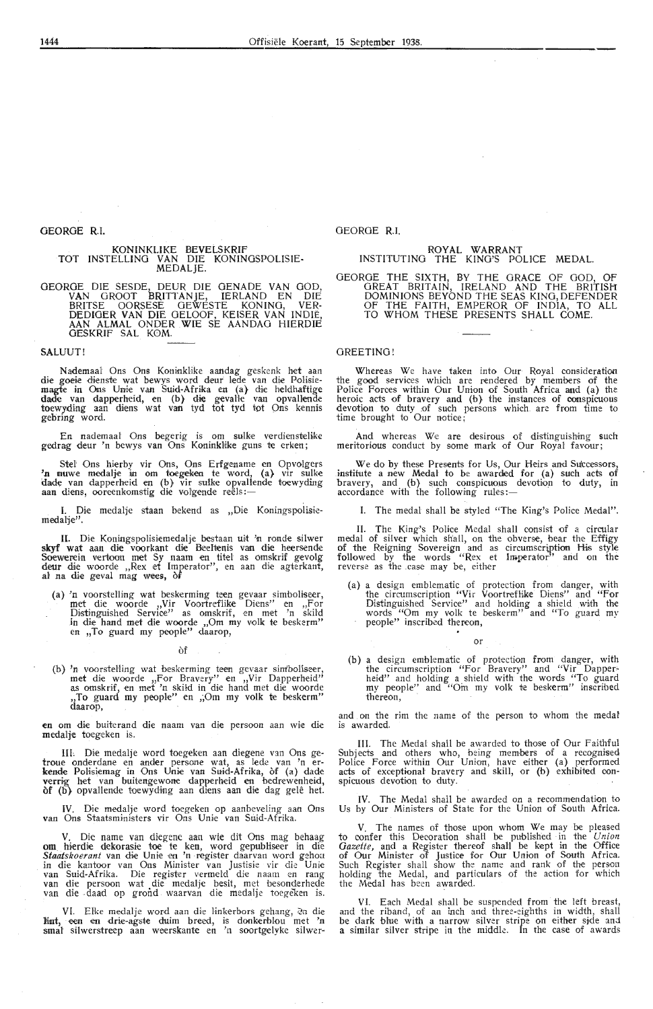KONINKLIKE BEVELSKRIF TOT INSTELLING VAN DIE KONINGSPOLISIE-MEDALJE.

GEORGE DIE SESDE, DEUR DIE GENADE VAN GOD, **VAN** GROOT BRITTANJE, IERLAND EN DIE BRITSE OORSESE GEWESTE KONING, VER-DEDIGER VAN DIE GELOOF, KEISER VAN INDIE, AAN ALMAL ONDER WIE SE AANDAG HIERDIE GESKRIF SAL KOM.

#### SALUUT!

Nademaal Ons Ons Koninklike aandag geskenk het aan die goeie dienste wat bewys word deur lede van die Polisiemagte in Ons Unie van Suid-Afrika en (a) die heldhaftige dade van dapperheid, en (b) die gevalle van opvallende toewyding aan diens wat van tyd tot tyd tot Ons kennis gebring word.

En nademaal Ons begerig is om sulke verdienstelike gedrag deur 'n bewys van Ons Koninklike guns te erken;

Stel Ons hierby vir Ons, Ons Erfgename en Opvolgers **'n 1111uwe medalje in om toegeken te word, (a)** vir sulke dade van dapperheid en (b) vir sulke opvallende toewyding<br>aan diens, ooreenkomstig die volgende reëls:--

**1. Die medalje staan bekend as "Die Koningspolisie**medalje''.

II. Die Koningspolisiemedalje bestaan uit 'n ronde silwer skyf wat aan die voorkant die Beeltenis van die heersende Soewerein vertoon met Sy naam en titel as omskrif gevolg<br>deur die woorde ,,Rex et Imperator'', en aan die agterkant,<br>al na die geval mag wees, òf

(a) 'n voorstelling wat beskerming teen gevaar simboliseer, met die woorde "Vir Voortreflike Diens" en "For<br>Distinguished Service" as omskrif, en met 'n skild in die hand met die woorde ,,Om my volk te beskerm" en ,,To guard my people" daarop,

of

(b) 'n voorstelling wat beskerming teen gevaar simboliseer, met die woorde ,,For Bravery" en ,,Vir Dapperheid" as omskrif, en met 'n skild in die hand met die woorde ,,To guard my people" en ,;Om my volk te beskerm" daarop,

en om die buiterand die naam van die persoon aan wie die medalje toegeken is.

Die medalje word toegeken aan diegene van Ons getroue onderdane en ander persone wat, as lede van 'n er-<br>kende Polisiemag in Ons Unie van Suid-Afrika, òf (a) dade<br>verrig het van buitengewone dapperheid en bedrewenheid,<br>of (b) opvallende toewyding aan diens aan die dag g

**IV.** Die medalje word toegeken op aanbeveling aan Ons **van** Ons Staatsministers vir Ons Uni,e van Suid-Afrika.

V. Die name van diegene aan wie dit Ons mag behaag **om hierdie dekorasie toe te ken, word gepubliseer in die** Staatskoerant van die Unie en 'n register daarvan word gehou in die kantoor van Ons Minister van Justisie vir die Unie van Suid-Afrika. Die register vermeld die naam en rang van die persoon wat die medalje besit, met beson

VI. Elke medalje word aan die linkerbors gehang, en die lint, een en drie-agste duim breed, is donkerblou met 'n **smal** silwerstreep aan weerskante en 'n soortgelyke silwer·

#### GEORGE RI.

# ROYAL WARRANT<br>INSTITUTING THE KING'S POLICE MEDAL.

GEORGE THE SIXTH, BY THE GRACE OF GOD, OF GREAT BRITAIN, IRELAND AND THE BRITISH DOMINIONS BEYOND THE SEAS KING, DEFENDER OF THE FAITH, EMPEROR OF INDIA, TO ALL TO WHOM THESE PRESENTS SHALL COME.

#### GREETING!

Whereas We have taken into Our Royal consideration the good services which are rendered by members of the Police Foroes within Our Union of South Africa and (a) the heroic acts of bravery and (b} the instances of conspicuous devotion to duty of such persons which. are from time to time brought to Our notioe;

And whereas We are desirous of distinguishing such meritorious oonduct by some mark of Our Royal favour;

We do by these Presents for Us, Our Heirs and Successors, institute a new Medal to be awarded for (a) such acts of bravery, and (b) such conspicuous devotion to duty, in accordance with the following rules:—

I. The medal shall be styled "The King's Police Medal".

II. The King's Police Medal shall consist of a circular medal of silver which shall, on the obverse, bear the Effigy of the Reigning Sovereign and as circumscription His style followed by the words "Rex et Imperator" and on the reverse as the case may be, either

(a) a design emblematic of protection from danger, with the circumscription "Vir Voortrefhke Diens" and "For Distinguished Service" and holding a shield with the words "Om my volk te beskerm" and "To guard my people" inscribed thereon,

or

(b) a design emblematic of protection from danger, with the circumscription "For Bravery" and "Vir Dappers heid" and holding a shield with the words "To guard my people" and "Om my volk te beskerm" inscribed thereon,

and on the rim the name of the person to whom the medal is awarded.

III. The Medal shall be awarded to those of Our Faithful Subjects and others who, being members of a recognised Police Force within Our Union, have either (a) performed acts of exceptional bravery and skill, or (b) exhibited con-<br>spicuous devotion to duty.

**IV.** The Medal shall be awarded on a recommendation to Us by Our Ministers of State for the Union of South Africa.

The names of those upon whom We may be pleased to confer this Decoration shall be published in the *Union Gazette,* and a Register thereof shall be kept in the Office of Our Minister of Justice for Our Union of South Africa. Such Register shall show the name and rank of the person holding the Medal, and particulars of the action for which holding the Medal, and partithe Medal has been awarded.

VI. Each Medal shall be suspended from the left breast and the riband, of an inch and three-eighths in width, shall be dark blue with a narrow silver stripe on either side and<br>a similar silver stripe in the middle. In the case of awards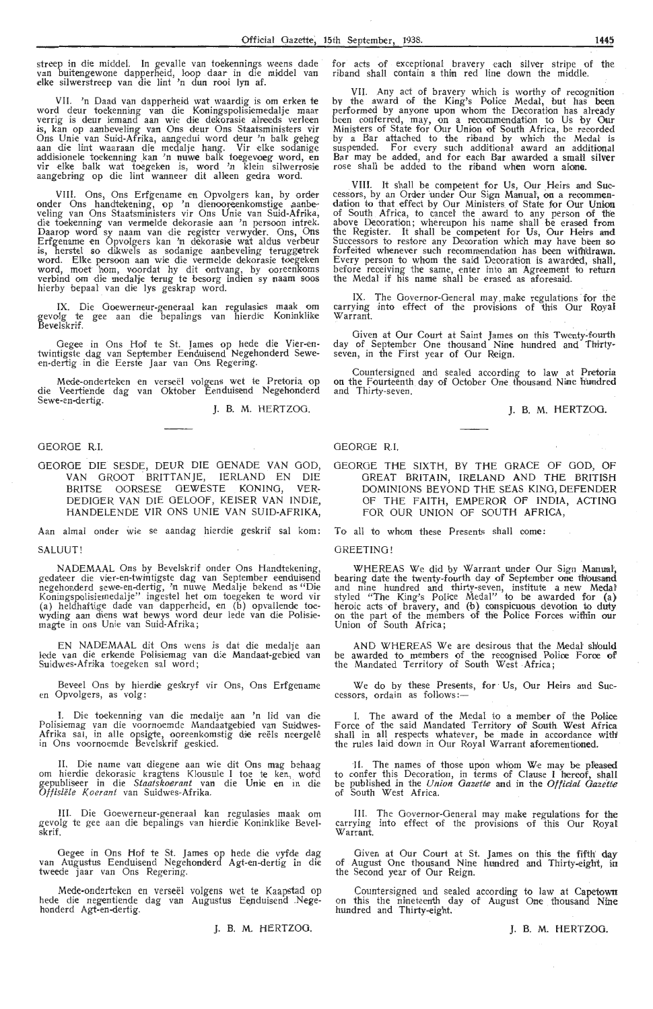streep in die middel. In gevalle van toekennings weens dade for acts of exceptional bravery each silver stripe of the<br>van buitengewone dapperheid, loop daar in die middel van riband shall contain a thin red line down the m

**VII.** 'n Daad van dapperheid wat waardig is om erken **te**  word deur toekenning van die Koningspolisiemedalje maar<br>verrig is deur iemand aan wie die dekorasie alreeds verleen is, kan op aanbeveling van Ons deur Ons Staatsministers vir Ons Unie van Suid-Afrika, aangedui word deur 'n balk geheg<br>aan die lint waaraan die medalje hang. Vir elke sodanige addisionele toekenning kan 'n nuwe balk toegevoeg word, en<br>vir elke balk wat toegeken is, word 'n klein silwerrosie aangebring op die lint wanneer dit alleen gedra word.

VIII. Ons, Ons Erfgename en Opvolgers kan, by order onder Ons handtekening, op 'n dienooreenkomstige aanbe-<br>veling van Ons Staatsministers vir Ons Unie van Suid-Afrika, die toekenning van vermelde dekorasie aan 'n persoon intrek. Daarop word sy naam van die register verwyder. Ons, Ons Erfgename en Opvolgers kan 'n dekorasie wat a1dus verbeur is, herstel so dikwels as sodanige aanbeveling teruggetrek word. Elke persoon aan wie die vermelde dekorasie toegeken word, moet hom, voordat hy dit ontvang, by ooreenkoms verbind om die medalje terug te besorg indien sy naam soos<br>hierby bepaal van die lys geskrap word.

IX. Die Goewemeur-generaal kan regulasies maak om gevolg te gee aan die bepali:ngs van hierdie Koninklike Bevelskrif.

Gegee in Ons Hof te St. James op hede die Vier-entwintigste dag van September Eenduisend Negehonderd Seween-dertig in die Eerste Jaar van Ons Regering.

Mede-onderteken en verseel volgens wet te Pretoria op die Veertiende dag van Oktober Eenduisend Negehonderd Sewe-en-dertig.  $\overline{A}$ . B. M. HERTZOG.

#### GEORGE R.I.

GEORGE DIE SESDE, DEUR DIE GENADE VAN GOD, **VAN** GROOT . BRITTANJE, IERLAND EN DIE BRITSE OORSESE GEWESTE KONING, VER-DEDIGER VAN DIE GELOOF, KEISER VAN INDIE, HANDELENDE VIR ONS UNIE VAN SUID-AFRIKA,

Aan almal onder wie se aandag hierdie geskrif sal kom:

SALUUT!

NADEMAAL Ons by Bevelskrif onder Ons Handtekening, gedateer die vier-en-twintigste dag van September eenduisend<br>negehonderd sewe-en-dertig, 'n nuwe Medalje bekend as "Die Koningspolisiemedalje" ingestel het om toegeken te word vir (a) heldhaftige dade van dapperheid, en (b) opvallende toewyding aan diens wat bewys word deur lede van die Polisie-<br>magte in ons Unie van Suid-Afrika;

EN NADEMAAL dit Ons wens is dat die medalje aan lede van die erkende Polisiemag van die Mandaat-gebied van Suidwes-Afrika toegeken sal word;

Beveel Ons by hierdie geskryf vir Ons, Ons Erfgename en Opvolgers, as volg:

I. Die toekenning van die medalje aan 'n lid van die Polisiemag van die voornoemde Mandaatgebied van Suidwes-Afrika sal, in alle opsigte, ooreenkomstig die reëls neergelê in Ons voornoemde Bevelskrif geskied.

IL Die name van diegene aan wie dit Ons mag behaag om hierdie dekorasie kragtens Klousule I toe te ken, wotd g.epubliseer in die *Staatskoerrmt* van die Unie en in di,e *Offisiele Koerant* van Suidwes-Afrika.

III. Die Goewerneur-generaal kan regulasies maak om gevolg te gee aan die bepalings van hierdie Koninklike Bevelskrif.

Gegee in Ons Hof te St. James op hede die vyfde dag van Augustus Eenduisend Negehonderd Agt-en-dertig in die tweede jaar van Ons Regering.

Mede-onderteken en verseel volgens wet te Kaapstad op hede die negentiende dag van Augustus Eenduisend Negehonderd Agt-en-dertig.

J. B. M. HERTZOG.

VII. Any act of bravery which is worthy of recognition bv the award of the King's Police Medal, but has **been**  performed by anyone upon whom the Decoration has alrea:dy been conferred, may, on a recommendation to Us by Our Ministers of State for Our Union of South Africa, be recorded by a Bar attached to the riband by which the Medal is<br>suspended. For every such additional award an additional Bar may be added, and for each Bar awarded a small sil<mark>ver</mark><br>rose shall be added to the riband wh<mark>en</mark> worn alone.

VIII. It shall be competent for Us, Our Heirs and Successors, by an Order under Our Sign Manual, on a recommen-<br>dation to that effect by Our Ministers of State for Our Union of South Africa, to cancel the award to any person of the above Decoration; whereupon his name shall be erased from the Register. It shall be competent for Us, Our Heirs and Successors to restore any Decoration which may have been so forfeited whenever such recommendation has been withdrawn. Every person to whom the said Decoration is awarded, shall, before receiving the same, enter into an Agreement to return the Medal if his name shall be erased as aforesaid.

IX. The Governor-General may make regulations for the carrying into effect of the provisions of this Our Royal Warrant.

Given at Our Court at Saint James on this Twenty~fourth day of September One thousand Nine hundred and Thirtyseven, in the First year of Our Reign.

Countersigned and sealed according to law at Pretoria on the Fourteenth day of October One thousand Nine frundred and Thirty-seven.

J. B. M. HERTZOG.

#### GEORGE R.I.

GEORGE THE SIXTH, BY THE GRACE OF GOD, OF GREAT BRITAIN, IRELAND AND THE BRITISH DOMINIONS BEYOND THE SEAS KING, DEFENDER OF THE FAITH, EMPEROR OF INDIA, ACTING FOR OUR UNION OF SOUTH AFRICA,

To all to whom these Presents shall oome:

GREETING!

WHEREAS We did by Warrant under Our Sign Manual', bearing date the twenty-fourth day of September one thousand and nine hundred and thirty-seven, institute a new Medat styled "The King's Police Medal" to be awarded for (a) heroic acts of bravery, and (b) conspicuous devotion to duty on the part of the members of the Police Forces within our Union of South Africa;

AND WHEREAS We are desirous that the Medal should be awarded to members of the recognised Police Force of the Mandated Territory of South West -Africa;

We do by these Presents, for Us, Our Heirs and Successors, ordain as follows:-

I. The award of the Medal to a member of the Police Force of the said Mandated Territory of South West Africa shall in all respects whatever, be made in accordance with the rules laid down in Our Royal Warrant aforementioned.

II. The names of those upon whom We may be pleased to confer this Decoration, in terms of Clause I hereof, shall be published in the *Union Gazette* and in the *Official Gazette* of South West Africa.

III. The Governor-General may make regulations for the carrying into effect of the provisions of this Our Royal Warrant.

Given at Our Court at St. James on this the fifth day of August One thousand Nine hundred and Thirty~eight, in the Second year of Our Reign.

Countersigned and sealed according to law at Capetown on this the nineteenth day of August One thousand **Nine**  hundred and Thirty-eight.

J. B. M. HERTZOG.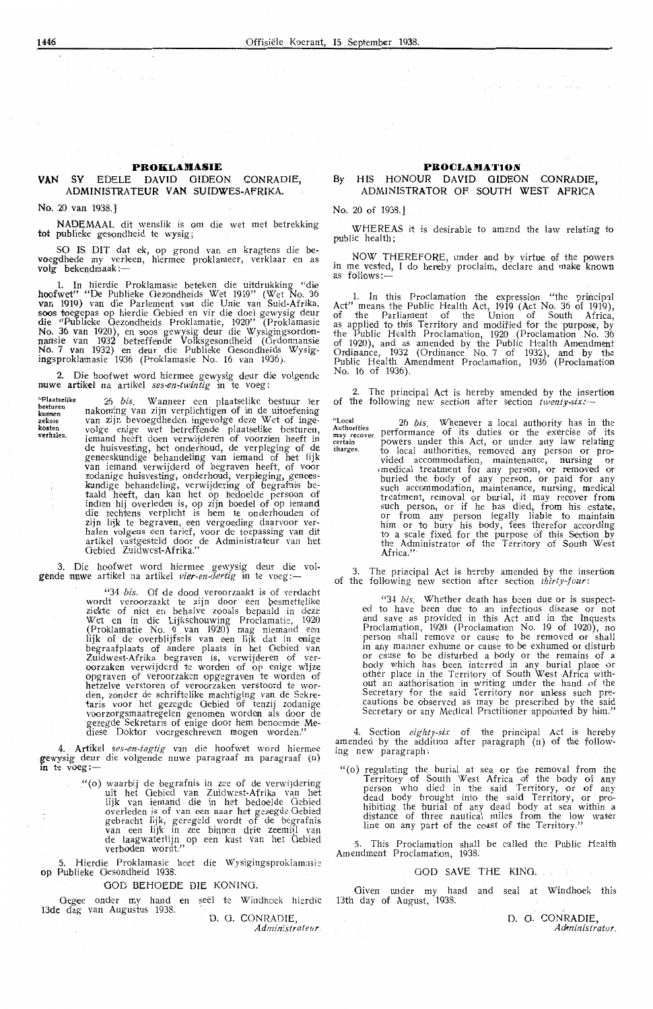#### **PROKLAMASIE**

#### **VAN SY EDELE DAVID GIDEON CONRADIE.** ADMINISTRATEUR VAN SUIDWES-AFRIKA.

No. 20 van 1938.

NADEMAAL dit wenslik is om die wet met betrekking tot publieke gesondheid te wysig;

SO IS DIT dat ek, op grond van en kragtens die bevoegdhede my verleen, hiermee proklameer, verklaar en as<br>volg bekendmaak :---

1. In hierdie Proklamasie beteken die uitdrukking "die hoofwet" "De Publieke Gezondheids Wet 1919" (Wet No. 36 van 1919) van die Parlement van die Unie van Suid-Afrika,<br>soos toegepas op hierdie Gebied en vir die doel gewysig deur die "Publieke Gezondheids Proklamatie, 1920" (Proklamasie No. 36 van 1920), en soos gewysig deur die Wysigingsordonnansie van 1932 betreffende Volksgesondheid (Ordonnansie No. 7 van 1932) en deur die Publieke Gesondheids Wysigingsproklamasie 1936 (Proklamasie No. 16 van 1936 ).

2. Die hoofwet word hiermee gewysig deur die volgende nuwe artikel na artikel *ses-en-twintig* in te voeg:

26 *bis*. Wanneer een plaatselike bestuur ter nakoming van zijn verplichtigen of in de uitoefening<br>van zijn bevoegdheden ingevolge deze Wet of ingevolge enige wet betreffende plaatselike besturen,<br>iemand heeft doen verwijderen of voorzien heeft in de huisvesting, het onderhoud, de verpleging of de geneeskundige behandeling van iemand of het lijk<br>van iemand verwijderd of begraven heeft, of voor<br>zodanige huisvesting, onderhoud, verpleging, geneeskundige behandeling, verwijdering of begrafnis be-<br>taald heeft, dan kan het op bedoelde persoon of indien hij overleden is, op zijn boedel of op iemand die rechtens verplicht is hem te onderhouden of zijn lijk te begraven, een vergoeding daarvoor ver-<br>halen volgens een tarief, voor de toepassing van dit artikel vastgesteld door de Administrateur van het Gebied Zuidwest-Afrika."

3. Die hoofwet word hiermee gewysig deur die vol-<br>gende nuwe artikel na artikel *vier-en-dertig* in te voeg:—

"34 *bis.* Of de dood veroorzaakt is of verdacht wordt veroorzaakt te zijn door een besmettelike ziekte of niet en behalve zooals bepaald in deze Wet en in die Lijkschouwing Proclamatie, 1920 (Proklamatie No. 9 van 1920) mag niemand een<br>lijk of de overblijfsels van een lijk dat in enige begraafplaats of andere plaats in het Gebied van<br>Zuidwest-Afrika begraven is, verwijderen of ver-<br>oorzaken verwijderd te worden of op enige wijze opgraven of veroorzaken opgegraven te worden of hetzelve verstoren of veroorzaken verstoord te wor-<br>den, zonder de schriftelike machtiging van de Sekretaris voor het gezegde Gebied of tenzij zodanige voorzorgsmaatregelen genomen worden als door de gezegde Sekretaris of enige door hem benoemde Mediese Doktor voorgeschreven mogen worden."

4. Artikel *ses-en-tagtig* van die hoofwet word hiermee gewysig deur die volgende nuwe paragraaf na paragraaf (n) in te voeg:-

"(o) waarbij de begrafnis in zee of de verwijdering uit het Gebied van Zuidwest-Afrika van het lijk van iemand die in het bedoelde Gebied overleden is of van een naar het gezegde Oebied gebracht lijk, geregeld wordt of de begrafnis<br>van een lijk in zee binnen drie zeemijl van<br>de laagwaterlijn op een kust van het Oebied verboden wordt."

5. Hierdie Proklamasie heet die Wysigingsproklamasie op Publieke Oesondheid 1938.

GOD BEHOEDE DIE KONING.

Gegee onder my hand en seël te Windhoek hierdie 13de dag van Augustus 1938. D. G. CONRADIE,

Administrate<sub>1</sub>

## **PROCLAMATION**

and string and

 $\sim 10^{-11}$ 

By HIS HONOUR DAVID GIDEON CONRADIE. ADMINISTRATOR OF SOUTH WEST AFRICA

#### No. 20 of 1938.]

WHEREAS it is desirable to amend the law relating to public health;

NOW THEREFORE, under and by virtue of the powers in me vested, I do hereby proclaim, declare and make known as follows:-

1. In this Proclamation the expression "the principal Act" means the Public Health Act, 1919 (Act No. 36 of 1919), of the Parliament of the Union of South Africa, as applied to this Territory and modified for the purpose, by the Public Health Proclamation, 1920 (Proclamation No. 36 of 1920), and as amended by the Public Health Amendment Ordinance, 1932 (Ordinance No. 7 of 1932), and by the Public Health Amendment Proclamation, 1936 (Proclamation No. 16 of 1936 ).

2. The principal Act is hereby amended by the insertion of the following new section after section twenty-six:-

**ulocal Authorities may recover certain**  charges. 26 bis. Whenever a local authority has in the performance of its duties or the exercise of its powers under this Act, or under any law relating<br>to local authorities, removed any person or provided accommodation, maintenance, nursing or ,medical treatment for any person, or removed or buried the body of any person, or paid for any such accommodation, maintenance, nursing, medical treatment, removal or burial, it may recover from such person, or if he has died, from his estate, or from any person legally liable to maintain him or to bury his body, fees therefor according *to* a scale fixed for the purpose of this Section by the Administrator of the Territory of South West Africa."

3. The principal Act is hereby amended by the insertion of the following new section after section *thirty-four:* 

"34 *bis.* Whether death has been due or is suspected to have been due to an infectious disease or not and save as provided in this Act and in the Inquests Proclamation, 1920 (Proclamation No. 19 of 1920), no person shall remove or cause to be removed or shall in any manner exhume or cause to be exhumed or disturb or cause to be disturbed a body or the remains of a body which has been interred in any burial place or other place in the Territory of South West Africa without an authorisation in writing under the hand of the Secretary for the said Territory nor unless such precautions be observed as may be prescribed by the said Secretary or any Medical Practitioner appointed by him."

4. Section *eighty-six* of the principal Act is hereby amended by the addition after paragraph (n) of the following new paragraph:

 $"$ (0) regulating the burial at sea or the removal from the Territory of South West Africa of the body of any person who died in the said Territory, or of any dead body brought into the said Territory, or prohibiting the burial of any dead body at sea within a distance of three nautical miles from the low water line on any part of the coast of the Territory."

5. This Proclamation shall be called the Public Health Amendment Proclamation, 1938.

#### GOD SAVE THE KING.

Given under my hand and seal at Windhoek this 13th day of August, 1938.

> D. G. CONRADIE *Adminisiratur\_*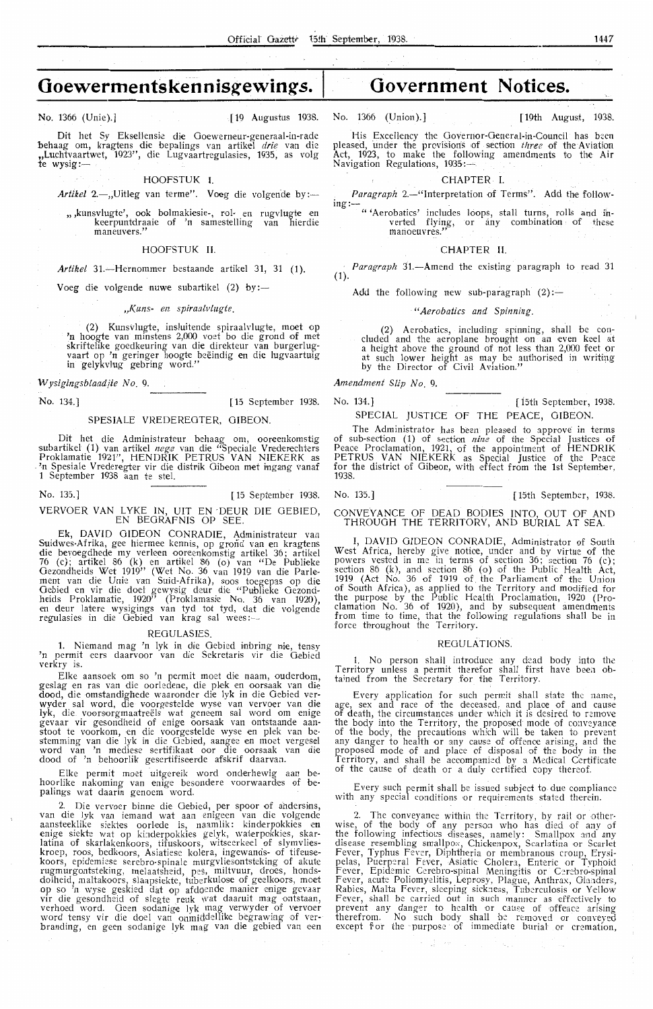No. 1366 (Unie).] [19 Augustus 1938. No. 1366 (Union).] [ 19th August, 1938.

Dit het Sy Eksellensie die Goewerneur-generaal-in-rade behaag om, kragtens die bepalings van artikel *drie* van die ,,Luchtvaartwet, 1923", die Lugvaartregulasies, 1935, as volg *te* wysig:-

#### HOOFSTUK I.

Artikel 2.-,,Uitleg van terme". Voeg die volgende by:-

, kunsvlugte', ook bolmakiesie-, rol- en rugvlugte en,<br>keerpuntdraaie of 'n samestelling van hierdie maneuvers."

#### HOOFSTUK II.

Artikel 31.-Hernommer bestaande artikel 31, 31 (1).

Voeg die volgende nuwe subartikel (2) by:-

*.,Kuns- en spiraalvlugte.* 

(2) Kunsvlugte, insluitende spiraalvlugte, moet op<br>'n hoogte van minstens 2,000 voet bo die grond of met skriftelike goedkeuring van die direkteur van burgerlug-<br>vaart op 'n geringer hoogte beëindig en die lugvaartuig in gelykv!ug gebring word."

*Wysigingsblaadiie No.* 9.

Dit het die Administrateur behaag om, ooreenkomstig subartikel (1) van artikel *nege* van die "Speciale Vrederechters Proklamatie 1921'', HENDRIK PETRUS VAN NIEKERK as .<br>In Spesiale Vrederegter vir die distrik Gibeon met ingang vanaf 1 September 1938 aan te stel.

No. 135.] [15 September 1938. VERVOER VAN LYKE IN, UIT EN -DEUR DIE OEBIED, EN BEGRAFNIS OP SEE.

Ek, DAVID GIDEON CONRADIE, Administrateur van Suidwes-Afrika, gee hiermee kennis, op grond van en kragtens die bevoegdhede my verleen ooreenkomstig artikel 36; artikel 76 (c); artikel 86 (k) en artikel 86 (o) van "De Publieke Gezondheids Wet 1919" (Wet No. 36 van 1919 van die Parlement van die Unie van Suid-Afrika), soos toegepas op die Oebied en vir die doel gewysig deur die " Publieke Gezondheids Proklamatie, 1920'' (Proklamasie No. 36 van 1920),<br>en deur latere wysigings van tyd tot tyd, dat die volgende regulasies in die Gebied van krag sal wees:-

#### REGULASIES.

1. Niemand mag 'n lyk in die Oebied inbring nie, tensy 'n permit eers daarvoor van die Sekretaris vir die Oebied verkry is.

Elke aansoek om so 'n permit moet die naam, ouderdom, geslag en ras van die oorledene, die plek en oorsaak van die dood, die omstandighede waaronder die lyk in die Oebied verwyder sal word, die voorgestelde wyse van vervoer van die lyk, die voorsorgmaatreëls wat geneem sal word om enige gevaar vir gesondheid of enige oorsaak van ontstaande aan-<br>stoot te voorkom, en die voorgestelde wyse en plek van be-<br>stemming van die lyk in die Gebied, aangee en moet vergesel word van 'n mediese sertifikaat oor die oorsaak van die dood of 'n behoorlik gesertifiseerde afskrif daarvan.

Elke permit moet uitgereik word onderhewig aan behoorlike nakoming van enige besondere voorwaardes of bepalings wat daarin genoem word.

2. Die vervoer binne die Oebied, per spoor of ahdersins, van die lyk van iemand wat aan enigeen van die volgende aansteeklike siektes oorlede is, naamlik: kinderpokkies en enige siekte wat op kinderpokkies gelyk, waterpokkies, skarlatina of skarlakenkoors, tifuskoors, witseerkeel of slymvlies-<br>kroep, roos, bedkoors, Asiatiese kolera, ingewands- of tifeuse koors, epidemiese serebro-spinale murgvliesontsteking of akute rugmurgontsteking, melaatsheid, pes, miltvuur, droes, honds-<br>dolheid, maltakoors, slaapsiekte, tuberkulose of geelkoors, moet op so 'n wyse geskied dat op afdoende manier enige gevaar vir die gesondheid of slegte reuk wat daaruit mag ontstaan, verhoed word. Geen sodanige lyk mag verwyder of vervoer word tensy vir die doel van onmiddellike begrawing of ver-<br>branding, en geen sodanige lyk mag van die gebied van een

His Excellency the Governor-General-in-Council has been pleased, under the provisions of section *three* of the Aviation Act, 1923, to make the following amendments to the Air Navigation Regulations, 1935:~

CHAPTER - I.

Paragraph 2.-"Interpretation of Terms". Add the following:-

"'Aerobatics' includes loops, stall turns, rolls and in-<br>verted flying, or any combination of these manoeuvres.

#### CHAPTER II.

Paragraph 31.-Amend the existing paragraph to read 31  $(1)$ 

Add the following new sub-paragraph  $(2)$ :-

#### *"Aerobatics and Spinning.*

(2) Aerobatics, including spinning, shall be concluded and the aeroplane brought on an even keel at a height above the ground of not less than 2,000 feet or at such lower height as may be authorised in writing by the Director of Civil Aviation."

*Amendment Slip No.* 9.

No. 134.] [ 15 September 1938. No. 134.] [ i5th September, 1938. SPESIALE VREDEREOTER, OIBEON. SPECIAL JUSTICE OF THE PEACE, OIBEON.

The Administrator has been pleased to approve in terms of sub-section (1) of section *nine* of the Special Justices of Peaoe Proclamation, 1921, of the appointment of HENDRIK PETRUS VAN NIEKERK as Special Justice of the Peace for the district of Oibeon, with effect from the 1st September, 1938.

No. 135.] [15th September, 1938.

CONVEYANCE OF DEAD BODIES INTO, OUT OF AND THROUGH THE TERRITORY, AND BURIAL AT SEA.

I, DAVID GIDEON CONRADIE, Administrator of South West Africa, hereby give notioe, under and by virtue of the powers vested in me in terms of section 36; section 76 (c); section 86 (k), and section 86 (o) of the Public Health Act, 1919 (Act No. 36 of 1919 of the Parliament of the Union of South Africa), as applied to the Territory and modified for the purpose by the Public Health Proclamation, 1920 (Proclamation No. 36 of 1920), and by subsequent amendments from time to time, that the following regulations shall be in force throughout the Territory.

#### REGULATIONS.

1. No person shall introduce any dead body into the Territory unless a permit therefor shall first have been obtained from the Secretary for the Territory.

Every application for such permit shall state the name, age, sex and race of the deceased, and place of and cause of death, the circumstances under which it is desired to remove the body into the Territory, the proposed mode of conveyance of the body, the precautions which will be taken to prevent any danger to health or any cause of offence arising, and the proposed mode of and place of disposal of the body in the Territory, and shall be accompanied by a Medical Certificate of the cause of death or a duly certified oopy thereof.

Every such permit shall be issued subjed to due compliance with any special conditions or requirements stated therein,

2. The conveyance within the Territory, by rail or other- wise, of the body of any pe rson who has died of any of the following infectious diseases, namely: Smallpox and any disease resembling smallpox, Chickenpox, Scarlatina or Scarlet Fever, Typhus Fever, Diphtheria or membranous croup, Erysipelas, Puerperal Fever, Asiatic Cholera, Enteric or Typhoid Fever, Epidemic Cerebro-spinal Meningitis or Cerebro-spinal<br>Fever, acute Poliomyelitis, Leprosy, Plague, Anthrax, Glanders,<br>Rabies, Malta Fever, sleeping sickness, Tuberculosis or Yellow Fever, shall be carried out in such manner as effectively to prevent any danger to health or cause of offence arising therefrom. No such body shall be removed or conveyed except for the purpose of immediate burial or cremation,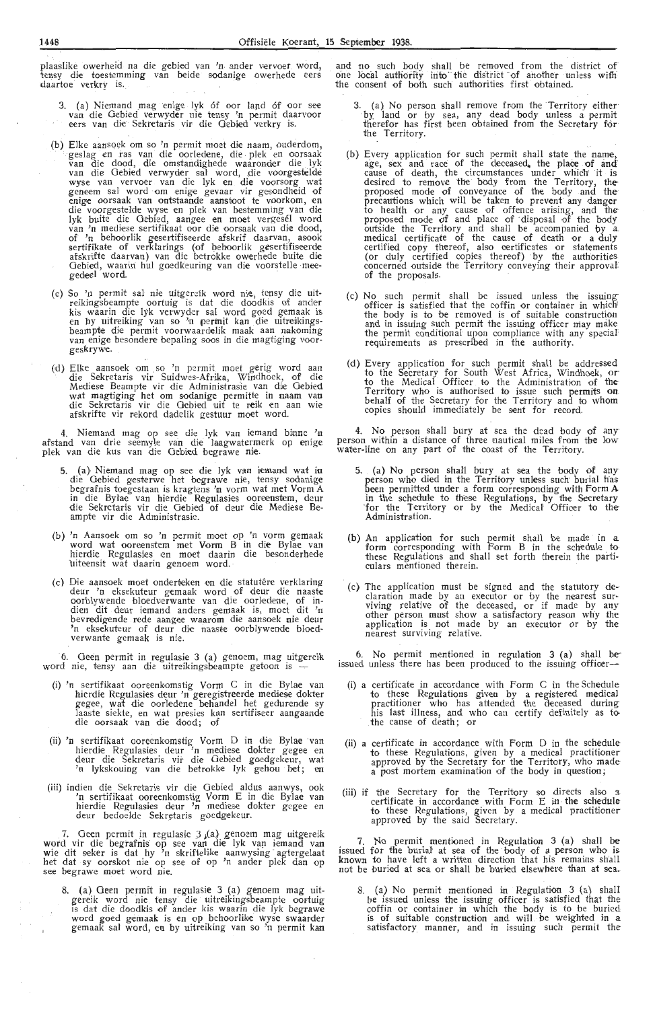plaaslike owerheid na die gebied van 'n antler vervoer word, tensy die toestemming van beide sodanige owerhede eers daartoe verkry is.

- 3. (a) Niemand mag enige lyk 6f oor land 6f oor see van die Gebied verwyder nie tensy 'n permit daarvoor eers van die Sekretaris vir die Gebied verkry is.
- (b) Elke aansqek om so 'n permit moet die naam, ouderdom, geslag en ras van die oorledene, die plek en oorsaak<br>van die dood, die omstandighede waaronder die .lyk<br>van die Gebied verwyder sal word, die voorgestelde wyse van vervoer van die lyk en die voorsorg wat geneem sal word om enige gevaar vir gesondheid of enige oorsaak van ontstaande aanstoot te voorkom, en die voorgestelde wyse en plek van bestemming van die lyk buite die Oebied, aangee en moet vergesel word<br>van 'n mediese sertifikaat oor die oorsaak van die dood, of 'n behoorlik gesertifiseerde afskrif daarvan, asook sertifikate of verklarings (of behoorlik gesertifiseerde afskrifte daarvan) van die betrokke owerhede buite die Gebied, waarin hul goedkeuring van die voorstelle mee- gedeel word.
- (c) So 'n permit sal nie uitgereik word nie, tensy die uitreikingsbeampte oortuig is dat die doodkis of ander<br>kis waarin die lyk verwyder sal word goed gemaak is<br>en by uitreiking van so 'n permit kan die uitreikingsbeampte die permit voorwaardelik maak aan nakoming<br>van enige besondere bepaling soos in die magtiging voor-<br>geskrywe.
- (d) Elke aansoek om so 'n permit moet gerig word aan die Sekretaris vir Suidwes-Afrika, Windhoek, of die Mediese Beampte vir die Administrasie van die Gebied wat magtiging het om sodanige permitte in naam van<br>die Sekretaris vir die Gebied uit te reik en aan wie afskrifte vir rekord dadelik gestuur moet word.

4. Niemand mag op see die lyk van iemand binne 'n afstand van drie seemyle van die laagwatermerk op enige plek van die kus van die Gebied begrawe nie.

- 5. (a) Niemand mag op see die lyk van iemand wat in die Gebied gesterwe het begrawe nie, tensy sodanige begrafnis toegestaan is kragtens 'n vorm wat met Vorm A in die Bylae van hierdie Regulasies ooreenstem, deur<br>die Sekretaris vir die Gebied of deur die Mediese Be-<br>ampte vir die Administrasie.
- (b) 'n Aansoek om so 'n permit moet op 'n vorm gemaak word wat ooreenstem met Vorm B in die Bylae van<br>hierdie Regulasies en moet daarin die besonderhede uiteensit wat daarin genoem word. ·
- (c) Die aansoek moet onderteken en die statutêre verklaring deur 'n eksekuteur gemaak word of deur die naaste oorblywende bloedverwante van die oorledene, of indien dit deur iemand anders gemaak is, moet dit 'n bevredigende rede aangee waarom die aansoek nie deur 'n eksekuteur of deur die naaste oorblywende bloedverwante gemaak is nie.

6. Geen permit in regulasie 3 (a) genoem, mag uitgereik word nie, tensy aan die uitreikingsbeampte getoon is —

- (i) 'n sertifikaat ooreenkomstig Vorm C in die Bylae van hierdie Regulasies deur 'n geregistreerde mediese dokter<br>gegee, wat die oorledene behandel het gedurende sy laaste siekte, en wat presies kan sertifiseer aangaande die oorsaak van die dood; of
- (ii) 'n sertifikaat ooreenkomstig Vorm D in die Bylae van<br>hierdie Regulasies deur 'n mediese dokter gegee en<br>deur die Sekretaris vir die Gebied goedgekeur, wat 'n lykskouing van die betrokke lyk gehou het; en
- (iii) indien die Sekretaris vir die Gebied aldus aanwys, ook 'n sertifikaat ooreenkomstig Vorm E in die Bylae van hierdie Regulasies deur 'n mediese dokter gegee en deur bedoelde Sekretaris goedgekeur.

. 7. Geen permit .in regulasie 3 ;(a), genoem mag uitgereik word vir die begrafnis op see van die lyk van iemand van<br>wie dit seker is dat hy 'n skriftelike aanwysing agtergelaat het dat sy oorskot nie op see of op 'n ander plek dan op<br>see begrawe moet word nie.

8. (a) Geen permit in regulasie 3 (a) genoem mag uitgereik word nie tensy die uitreikingsbeampte oortuig<br>is dat die doodkis of ander kis waarin die lyk begrawe word goed gemaak is en op behoorlike wyse swaarder gemaak sal word, en by uitreiking van so 'n permit kan and no such body shall be removed from the district of one local authority irifo' the district · of another unless with the consent of both such authorities first obtained.

- 3. (a) No person shall remove from the Territory either<br>by land or by sea, any dead body unless a permit therefor has first been obtained from the Secretary for the Territory.
- (b) Every application for such permit shall state the name, age, sex and race of the deceased, the place of and<br>cause of death, the circumstances under which it is desired to remove the body from the Territory, the<br>proposed mode of conveyance of the body and the precautions which will be taken to prevent' any danger to health or any cause of offence arising, and theproposed mode of and place of disposal of the body outside the Te rritory and shall be accompanied by a. medical certificate of the cause of death or a duly certified copy thereof, also certificates or statements (or duly certified copies thereof) by the authorities concerned outside the Territory conveying their approval of the proposals.
- (c) No such permit shall be issued unless the issuing-- officer *is* satisfied that the coffin or container iin which<sup>1</sup> the body is to be removed is of suitable construction and in issuing such permit the issuing officer may make the permit conditional upon compliance with any special requirements as prescribed in the authority.
- (d) Every application for such permit shall be addressed to the Secretary for South West Africa, Windhoek, or· to the Medical Officer to the Administration of the-Territory who is authorised to issue such permits on<br>behalf of the Secretary for the Territory and to whom copies should immediately be sent for record.

4. No person shall bury at sea the dead body of any· person within a distanoe of three nautical miles from the low water-line on any part of the ooast of the Territory.

- 5. (a) No person shall bury at sea the body of any person who died in the Territory unless such burial has been permitted under a form corresponding with Form A in the schedule to these Regulations, by the Secretary for the Territory or by the Medical Officer to the Administration.
- (b) An application for such permit shall be made in a form corresponding with Form B in the schedule to<br>these Regulations and shall set forth therein the particulars mentioned therein.
- (c) The application must be signed and the statutory declaration made by an executor or by the nearest sur- viving relative of the deceased, or if made by any other person must show a satisfactory reason why the application is not made by an executor or by the nearest surviving relative.

6. No permit mentioned in regulation 3 (a) shall be-issued unless there has been produced to the issuing offioer-

- (i) a certificate in accordance with Form C in the Schedule to these Regulations given by a registered medical practitioner who has attended the deceased during<br>his last illness, and who can certify definitely as to<br>the cause of death; or
- (ii) a certificate in accordance with Form D in the schedule to these Regulations, given by a medical practitioner approved by the Secretary for the Territory, who made a post mortem examination of the body in question;
- (iii) if the Secretary for the Territory so directs also a certificate in accordance with Form  $E$  in the schedule to these Regulations, given by a medical practitioner approved by the said Secretary.

7. No permit mentioned in Regulation 3 (a) shall be issued for the buriat at sea of the body of a person who is known to have left a written direction that his remains shall not be buried at sea or shall be buried elsewhere than at sea ..

8. (a) No permit mentioned in Regulation 3 (a) shall be issued unless the issuing officer is satisfied that the coffin or container in which the body is to be buried is of suitable construction and will be weighted in a<br>satisfactory manner, and in issuing such permit the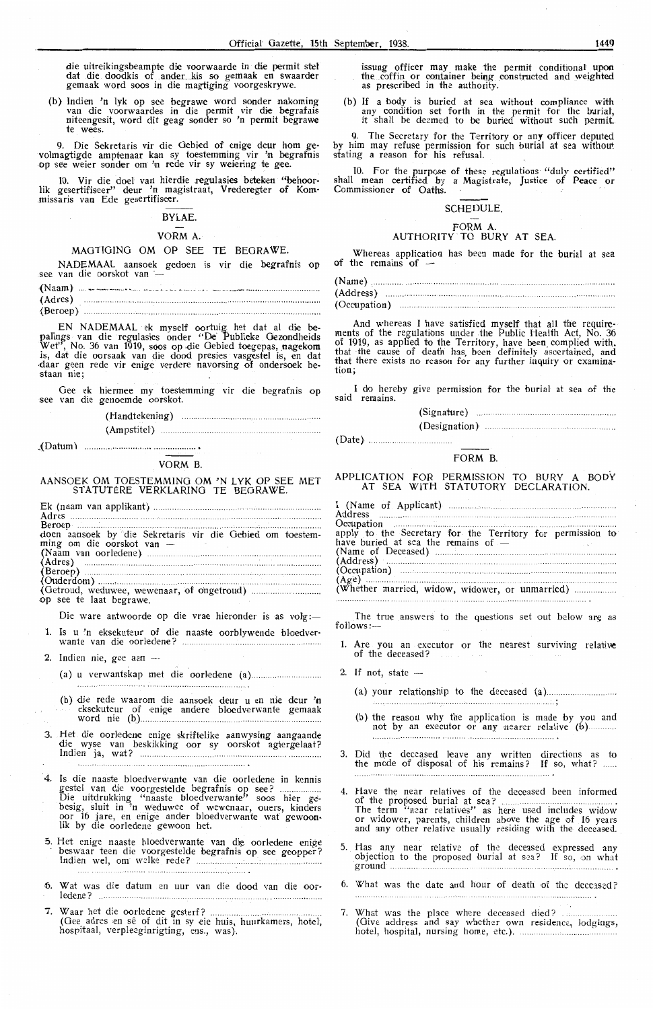die uitreikingsbeampte die voorwaarde in die permit stel dat die doodkis of ander kis so gemaak en swaarder gemaak word soos in die magtiging voorgeskrywe.

(b} lndien 'n lyk op see begrawe word sonder nakoming van die voorwaardes in die permit vi.r die begrafnis uiteengesit, word dit geag sonder so 'n permit begrawe te wees.

9. Die Sekretaris vir die Gebied of enige deur hom gevolmagtigde amptenaar kan sy toestemming vir 'n begrafnis op see weier sonder om 'n rede vir sy weiering te gee.

10. Vir die doel van hierdie regulasies beteken "behoorlik gesertifiseer" deur 'n magistraat, Vrederegter of Kom-<br>missaris van Ede gesertifiseer.

#### BYLAE.

#### VORM A.

#### MAGTIGING OM OP SEE TE BEGRAWE.

see van die oorskot van -NADEMAAL aansoek gedoen is vir die begrafnis op

{Naam) .... \_ - --·--- .... . -- -·-· . \_\_ --- -- (Adres) ............ ...... ... .... .... .. ..... ......... .. ............................................... . (Beroep) ........

EN NADEMAAL ek myself oortuig. het dat al die **be**palings van die regulasies onder "De Publieke Gezondheids Wet", No. 36 van 1919, soos op die Gebied toegepas, nagekom is, dat die oorsaak van die dood presies vasgestel is, en dat<br>daar geen rede vir enige verdere navorsing of ondersoek bestaan nie:

Gee ek hiermee my toestemming vir die begrafnis op see van die genoemde oorskot.

(Handtekening )

(Ampstitel}

. (Datum)

#### VORM B.

#### AANSOEK OM TOESTEMMING OM 'N LYK OP SEE MET STATUTÈRE VERKLARING TE BEGRAWE.

| doen aansoek by die Sekretaris vir die Gebied om toestem- |
|-----------------------------------------------------------|
| ming om die oorskot van —                                 |
|                                                           |
|                                                           |
|                                                           |
|                                                           |
|                                                           |
| op see te laat begrawe.                                   |
|                                                           |

Die ware antwoorde op die vrae hieronder is as volg :-

- 1. Is u 'n eksekuteur of die naaste oorblywende bloedverwante van die oorled-ene?
- 2. Indien nie, gee aan --
	- (a) u verwantskap met die ooriedene (a)
	- (b) die rede waarom die aansoek deur u en nie deur **'n**<br>••• eksekuteur of enige andere bloedverwante gemaak word nie (b)
- 3. Het die oorledene enige skriftelike aanwysing aangaande die wys•e van beskikking oor sy oorskot agtergelaat? Indien ja, wat?

- 4. Is die naaste bloedverwante van die oorledene in kennis gestel van die voorgestelde begrafnis op see? Die uitdrukking ''naaste bloedverwante'' soos hier gebesig, sluit in 'n weduwee of wewenaar, ouers, kinders<br>oor 16 jare, en enige ander bloedverwante wat gewoonlik by die oorledene gewoon het.
- 5. Het enige naaste bloedverwante van die oorledene enige beswaar t een die voorgest-elde begrafnis op see geopper? Indien we!, om welke rede?
- 6. Wat was die datum en uur van die dood van die oor- ledene?
- 7. Waar het di•e oorledene gest-erf? ... .. .... (Gee adres ,en se of dit m sy eie huis, huurkamers, hotel, hospitaal, verpleeginrigting, ens,, was).

issung officer may make the permit conditional upon<br>the coffin or container being constructed and weighted<br>as prescribed in the authority.

(b) If a body is buried at sea without compliance with any condition set forth in the permit for the burial, it shall be deemed to be buried without such permit..

9. The Secretary for the Territory or any officer deputed by him may refuse permission for such burial at sea without stating a reason for his refusal.

10. For the purpose of these regulations "duly certified" shall mean certified by a Magistrate, Justice of Peace or<br>Commissioner of Oaths.

#### SCHEDULE.

# FORM A.<br>AUTHORITY TO BURY AT SEA.

Whereas application has been made for the burial at sea of the remains of  $-$ 

| (Occupation) |  |
|--------------|--|

And whereas I have satisfied myself that all the requirements of the regulations under the Public Health Act, No, 36 of 1919, as applied to the Territory, have been\_ oomplied *with.*  that the cause of death has, been definitely ascertained, and<br>that there exists no reason for any further inquiry or examination;

I do hereby give permission for the burial at sea of the said remains.

| (Designation) |  |
|---------------|--|

#### FORM B.

#### APPLICATION FOR PERMISSION TO BURY A BODY AT SEA WITH STATUTORY DECLARATION.

| Address <b>Market Community Community</b> and the <b>Market Community</b> Community Community Community Community Community Community Community Community Community Community Community Community Community Community Community Communit |
|------------------------------------------------------------------------------------------------------------------------------------------------------------------------------------------------------------------------------------------|
|                                                                                                                                                                                                                                          |
| apply to the Secretary for the Territory for permission to                                                                                                                                                                               |
| have buried at sea the remains of $-$                                                                                                                                                                                                    |
|                                                                                                                                                                                                                                          |
| (Address)                                                                                                                                                                                                                                |
|                                                                                                                                                                                                                                          |
|                                                                                                                                                                                                                                          |
|                                                                                                                                                                                                                                          |

The true answers to the questions set out below are as follows: $-$ 

- 1. Are you an executor or the nearest surviving relative of the deceased?
- 2. If not, state -

(Date} ..

(a) your relationship to the deceased (a)

- (b) the reason why the application is made by you and not by an executor or any nearer relative (b)............
- 3. Did the deceased leave any written directions as to the mode of disposal of his remains? If so, what?
- 4. Have the near relatives of the deoeased been informed of the proposed burial at sea? ... .. .... ............... . The term "n~ar relatives" as here us,ed includes widow or widower, parents, children above the age of 16 years or widower, parents, children above the age of 16 years and any other relative usually residing with the deceased.
- 5. Has any near relative of the deceased expressed any objection to the proposed burial at sea? If so, on what ground .
- 6. What was the date and hour of death of the deceased?
- 7. What was the place where deceased died? (Give address and say whether own residence, lodgings, hotel, hospital, nursing home, etc.).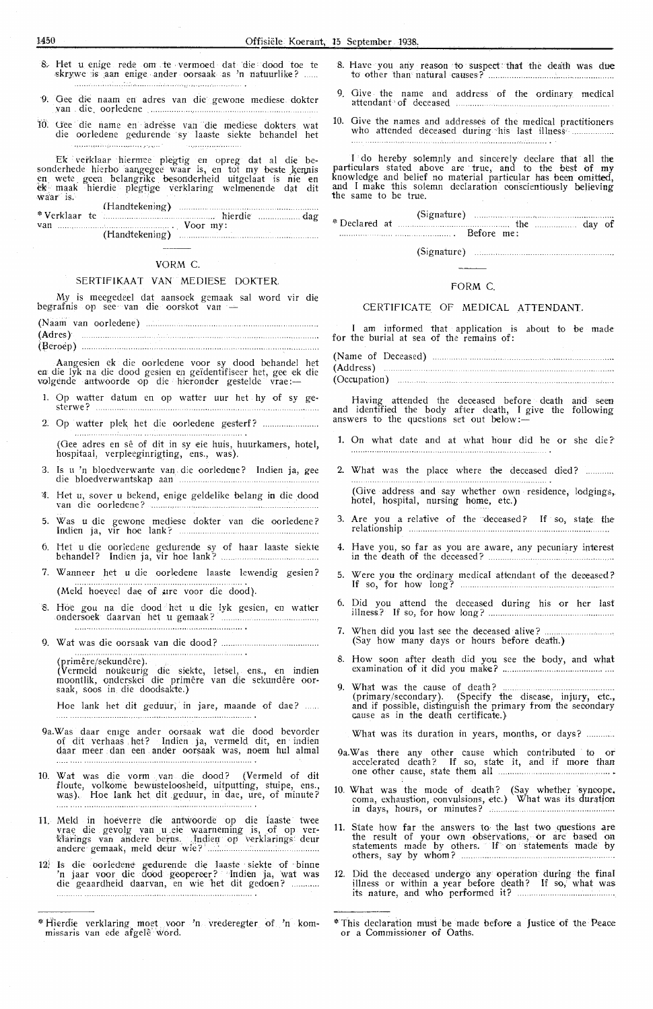- R- Het u enige rede om te , vermoed dat die dood toe te skrywe is aan enige ander oorsaak as 'n natuurlike?
- ·9\_ Gee die naam en adres van die gewone mediese dokter van die oorledene .
- 10. Uee die name en adre'sse van die mediese dokters wat die oorledene gedurende sy laaste siekte behandel het . . . . . . . . . . . . . . . . . . . .

Ek verklaar hiermee plegtig en opreg dat al die besonderhede hierbo aangegee waar is, en tot my beste kennis<br>en. wete geen. belangrike besonderheid uitgelaat is nie en<br>ek maak hierdie plegtige verklaring welmenende dat dit wa'ar is.

| $-10.011$ $-10.71$ |  |  |
|--------------------|--|--|
|                    |  |  |
|                    |  |  |
|                    |  |  |

#### VORM C.

#### SERTIFIKAAT VAN MEDIESE DOKTER.

My is meegedeel dat aansoek gemaak sal word vir die begrafnis op see van die oorskot van

- (Naam van oorledene) **(Ad** res)  $\begin{minipage}[c]{0.5\textwidth} \centering \begin{tabular}{|c|c|c|c|} \hline \multicolumn{1}{|c|}{\textbf{1}} & \multicolumn{1}{|c|}{\textbf{1}} & \multicolumn{1}{|c|}{\textbf{1}} & \multicolumn{1}{|c|}{\textbf{1}} & \multicolumn{1}{|c|}{\textbf{1}} & \multicolumn{1}{|c|}{\textbf{1}} & \multicolumn{1}{|c|}{\textbf{1}} & \multicolumn{1}{|c|}{\textbf{1}} & \multicolumn{1}{|c|}{\textbf{1}} & \multicolumn{1}{|c|}{\textbf{1}} & \mult$
- (fleroep)

Aangesien ek die oorledene voor sy dood behandel het en die lyk na die dood gesien en geïdentifiseer het, gee ek die ea die lyk na die dood gesien en geldentifiseer het, gee ek<br>volgende antwoorde op die hieronder gestelde vrae :—

- 1. Op watter datum en op watter uur het hy of sy gesterwe?
- 2. Op watter plek het di,e oorleqene g,esterf?

. . . . . . . . . . (Gee adres en sê of dit in sy eie huis, huurkamers, hotel, hospitaal, verpleeginrigting, ens., was).

- 3. Is u 'n bloedverwante van die oorledene? Indien ja, gee die bloedverwantskap aan
- 4. *Het* u, saver *<sup>u</sup>*bekend, enige geldelike belang in die \_dood van di•e ooriedene? ...... .
- 5. Was u die gewone mediese dokter van die oorledene? Indien j a, vir hoe lank?
- 6. Het u die oorledene gedurende sy of haar laaste siekte behandel? Indien ja, vir hoe lank?
- 7. Wanneer het u die oorledene laaste lewendig gesien? (Meld hoeveel dae of ure voor die dood).
- 8. Hoe gou na die dood het u die lyk gesien, en watter ondersoek daarvan het u gemaak?
- 9. Wat was die oorsaak van die doo\i? .

(primere/sekundcre). (Vermeld noukeurig die siekte, letsel, ens., en indien moontlik, onderskei die primêre van die sekundêre oor-<br>saak, soos in die doodsakte.)

Hoe lank het dit geduur, in jare, maande of dae? ......

- 9a.Was daar en1ge antler oorsaak wat die dood bevorder of dit verhaas het? Indien ja, vermeld dit, en indien daar meer dan een ander oorsaak was, noem hul almal
- 10. Wat was die vorm -, van die dood? (Vermeld of dit floute, volkome bewusteloosheid, uitputting, stuipe, ens., was). Hoe lank het dit geduur, in dae, ure, of minute?
- 11. Meld in hoeverre die antwoorde op die laaste twee vrae die gevolg van u eie waarneming is, of op ver-<br>Harings van andere berus. Jndien op verklarings deur andere gemaak, meld deur wie?
- 12! Is die oorledene gedurende die laaste siekte of binne 'n jaar voor die dood geopereer? Indien ja, wat was<br>die geaardheid daarvan, en wie het dit gedoen? ...........
- \* Hierdie verklaring moet voor 'n vrederegter of 'n kom-<br>missaris van ede afgele word.
- 8. Have you any reason to suspect that the death was due to other than natural causes? .................... .
- 9. Give the name and address of the ordinary medical attendant of deceased ...............
- 10. Give the names and addresses of the medical practitioners who attended deceased during his last illness .................

I do hereby solemnly and sincerely declare that all the particulars stated above are · true, and to the best of **my**  knowledge and belief no material particular has been omitted, and I make this solemn declaration conscientiously believing the same to be true.

(Signature) •~ Declared at . . . . . . .. . . . . . . .. . .. . . . . . . . . . . . . . . . .. the Before me: (Signature) the day of

#### (Signature)

#### FORM C.

#### CERTIFICATE OF MEDICAL ATTENDANT.

I am informed that application is about to be made for the burial at sea of the remains of:

| (Occupation) |  |  |
|--------------|--|--|

Having attended the deceased before death and seen and identified the body after death, I give the following answers to the questions set out below:-

- 1. On what date and at what hour did he or she die?
- 2. What was the place where the deceased died?

(Give address and say whether own residence, lodgings,, hotel, hospital, nursing home, etc.)

- 3. Are you a relative of the deceased? If so, state the relationship
- 4. Have you, so far as you are aware, any pecuniary interest in the death of the deceased?
- 5. Were you the ordinary medical attendant of the deceased? If so, for how long?
- 6. Did you attend the deceased during his or her last illness? If so, for how long?
- 7. When did you last see the deceased alive? (Say how many days or hours before death.)
- 8. How soon after death did you see the body, and what examination of it did you mak•e? ............................................. .
- 9. What was the cause of death? ............................. . (primary /secondary). (Specify the disease, injury, etc., and if possible, distinguish the primary from the secondary cause as in the death certificate.)
- What was its duration in years, months, or days? ............
- 9a.Was there aqy other cause which contributed to or accelerated death? If so, state it, and if more than one other cause, state them all
- 10. What was the mode of death? (Say whether syncope, coma, exhaustion, convulsions, etc.) What was its duration in days, hours, or minutes?
- 11. State how far the answers to the last two questions are the result of your own observations, or are based on statements made by others. If on statements made by others, say by whom?
- 12. Did the deceased undergo any operation during the final illness or within a year before death? If so, what was its nature, and who performed it? ..................... .

<sup>\*</sup> This declaration must be made before a Justice· of t.he · Peace or a Commissioner of Oaths.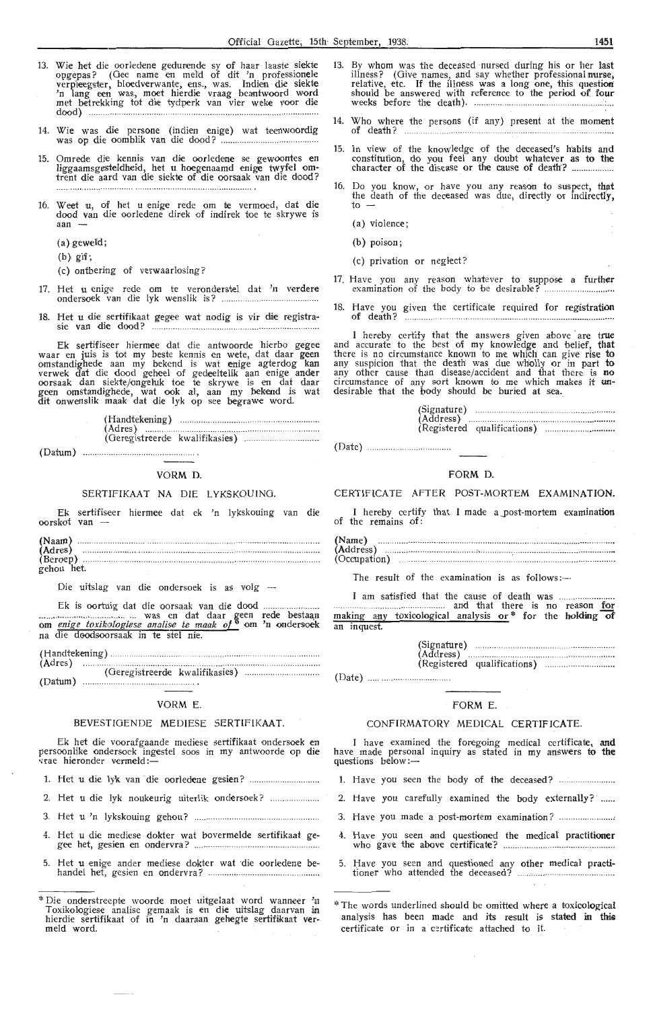- 13. Wie het die oorledene gedurende sy of haar laaste siekte opgepas? (Gee name en mefd of dit 'n professionele verpleegster, bloedverwante, ens., was. Indien die siekte<br>'n lang een was, moet hierdie vraag beantwoord word met betrekking *tot* di,e tydperk van vier weke voor die dood) ... .. .. .. .... ... ... ....... ............................. ...... ........... .. .. .. .............. ... .. .
- 14. Wie was die persone (indien enige) wat teenwoordig was op die oomblik van die dood? .......... .. .... .............. ..
- 15. Omrede die kennis van die oorledene se gewoontes en liggaamsgesteldheid, het u hoegenaamd enige twyfel om• trent die aard van die siekte of die oorsaak van die dood?
- 16. Weet u, of het u enige rede om te vermoed, dat die dood van die oorledene direk of indirek toe te skrywe is aan  $-$ 
	- (a) geweid;
	- $(b)$  gif;
	- ( c) ontbering of verwaarlosing?
- 17. Het u enige rede om te veronderstel dat 'n verdere ondersoek van die lyk wenslik is? ..............................
- 18. Het u die sertifikaat gegee wat nodig is vir die registrasie van die dood? ..............

Ek sertifiseer hiermee dat die antwoorde hierbo gegee waar en juis is tot my beste kennis en wete, dat daar geen omstandighede aan my bekend is wat enige agterdog kan verwek dat die dood geheel of gedeeltelik aan enige ander oorsaak dan siekte/ongeluk toe te skrywe is en dat daar geen omstandighede, wat ook al, aan my bekend is wat dit onwenslik maak dat die lyk op see begrawe word.

(Handtek,ening) ............. .. ...... ... . (Adres} .. ....... .... .. ..... . (Geregistreerde kwalifikasies}

(Datum) ...........

#### VORM D.

#### SERTIFIKAAT NA DIE LYKSKOUING.

Ek sertifiseer hiermee dat ek 'n lykskouing van die oorskot van

| (Naam)     |  |  |
|------------|--|--|
| (Adres)    |  |  |
| (Beroep)   |  |  |
| gehou het. |  |  |

Die uitslag van die ondersoek is as volg -

Ek is oortuig dat die oorsaak van die dood .............. .. . .. .. ... ......................... ......... ... was en dat daar ~een rede besta~n om *enige toxikologiese analise te* maak *of ~'* om 'n ondersoek na die doodsoorsaak in te stel nie.

(Handtekenin.g). (Adres) .. 

(Geregistreerde kwalifikasies) (Datum) 

#### VORM E.

#### BEVESTIGENDE MEDIESE SERTIFIKAAT.

Ek het die voorafgaande mediese sertifikaat ondersoek en persoonlike ondersoek ingestel soos in my antwoorde op die vrae hieronder vermeld :-

- 1. Het u die lyk van · die oorledene gesien?
- 2. Het u die lyk noukeurig uit,erlik ondersoek?
- 3. Het u 'n lykskouing gehou?
- 4. Het u die mediese dokter wat bovermelde sertifikaat gegee het, gesien en ondervra? .............. .. .... .. .............................. ..
- 5. Het u enige ander mediese dokter wat die oorledene behandel het, gesien en ondervra? .........
- 13. By whom was the deceased nursed during his or her last illness? (Give names, and say whether professional nurse, relative, etc. If the illness was a long one, this question should be answered with reference to the period of four weeks before the death). . .............. .. .... .. ......... .. .......... .' ... .
- Who where the persons (if any) present at the moment of death?
- 15. In view of the knowledge of the deceased's h'abits and constitution, do you feel any doubt whatever as to the<br>character of the disease or the cause of death? ..................
- 16. Do you know, or have you any reason to suspect, that the death of the deceased was due, directly or indirectly, *to* -
	- (a) violence;
	- (b) poison;
	- (c) privation or neglect?
- 17. Have you any reason whatever to suppose a further examination of the body to be desirable? .................. .. ..
- 18. Have you given the certificate required for regis**tration** of death ? .. ..... ....................................... ..

I hereby certify that the answers given above are true and accurate to the best of my knowledge and belief, that there is no circumstance known to me which can give rise to any suspicion that the death was due wholly or in part to any other cause than disease/accident and that there is **no** circumstance of any sort known to me which makes it un-<br>desirable that the body should be buried at sea.

|  | (Address) |  |
|--|-----------|--|
|  |           |  |

#### FORM **D.**

#### CERTIFICATE AFTER POST-MORTEM EXAMINATION.

I hereby certify that I made a \_post-mortem **examination**  of the remains of:

| (Name)<br>(Address) |  |  |
|---------------------|--|--|
|                     |  |  |
| (Occupation)        |  |  |

The result of the examination is as follows: $-$ 

I am satisfied that the cause of death was .... .... ........ .. and that there is no reason for making any toxicological analysis or \* for the holding of an inquest.

|        | (Signature)<br>(Address) |  |
|--------|--------------------------|--|
|        |                          |  |
| (Date) |                          |  |

## FORM E.

#### CONFIRMATORY MEDICAL CERTIFICATE.

I have examined the foregoing medical certificate, **and**  have made personal inquiry as stated in my answers to the<br>questions below:—

- 1. Have you seen the body of the deceased? ...
- 2. Have you carefully examined the body externally? ..... .
- 3. Have you made a post-mortem examination? .......................
- 4. Have you seen and questioned the medical practitioner who gave the above certificate? ................................. ............. .
- 5. Have you seen and questioned any other medical practitioner who attended the deceased? . . ........... .... .................... ..

<sup>\*</sup> Die onderstreepte woorde moet uitgelaat word wanneer 'n Toxikologiese analise gemaak is en die uitslag daarvan in hierdie sertifikaat of in 'n daaraan gehegte sertifikaat ver-<br>meld word.

<sup>\*</sup> The words underlined should be omitted where a toxicological analysis has been made and its result is stated in this certificate or in a certificate attached to it.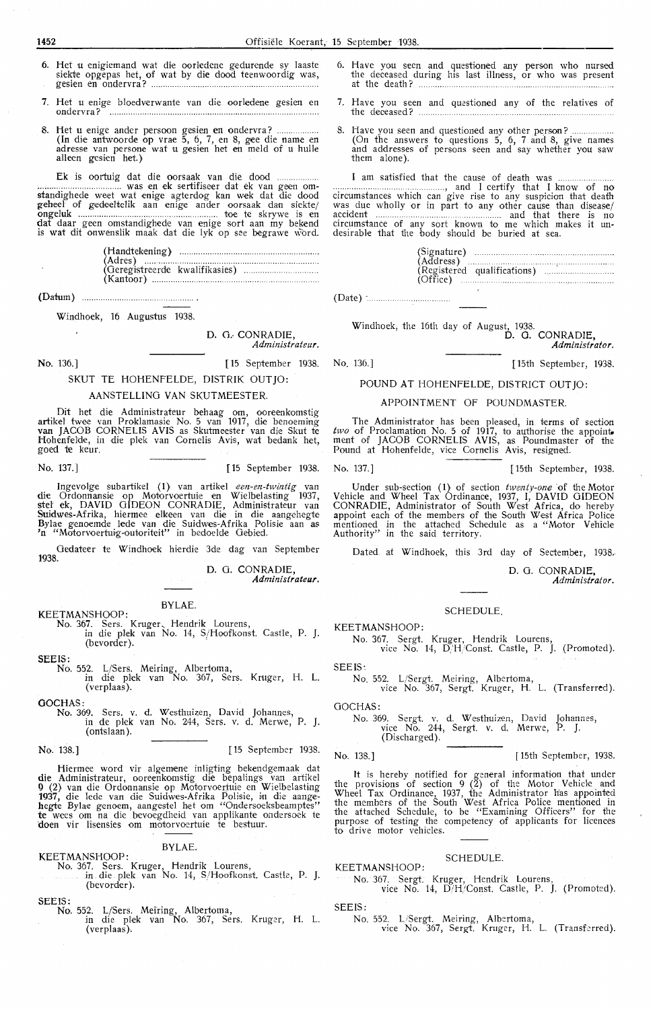- 6. Het u enigiemand wat die oorledene gedurende sy laaste siekte opgepas het, of wat by die dood teenwoordig was, gesien en ondervra? ...
- **7.** Het u enige bloedverwante van die oorledene gesien en ondervra? ................................................................... .
- 8. Het u enige ander persoon gesien en ondervra? ..... . (In die antwoorde op vrae 5, 6, 7, en 8, gee die name en adresse van persone wat u gesien het en meld of u hulle alleen gesien het.)

Ek is oortuig <lat die oorsaak van die dood ................................... was en ek sertifiseer <lat ek van geen om- standighede we-et wat enige agterdog kan wek dat die dood geheel of gedeeltelik aan enige ander oorsaak dan siekte/ ongeluk ........................................................... toe te skrywe is en dat daar geen omstandighede van enige sort aan my bekend is wat dit onwenslik maak dat die lyk op see begrawe word.

(Datum)

Windhoek, 16 Augustus 1938.

D. O.· CONRADIE, *Administrateur.* 

goed te keur.

No. 136.] [15 September 1938. No. 136.] [ 15th September, 1938.

#### SKUT TE HOHENFELDE, DISTRIK OUTJO: AANSTELLING VAN SKUTMEESTER.

Dit het die Administrateur behaag om, ooreenkomstig<br>artikel twee van Proklamasie No. 5 van 1917, die benoeming<br>van JACOB CORNELIS AVIS as Skutmeester van die Skut te Hohenfelde, in die plek van Cornelis Avis, wat bedank het,

No. 137.] [15 September 1938. No. 137.] [ 15th September, 1938.

Ingevolge subartikel (1) van artikel *een-en-twintig* van die Ordonnansie op Motorvoertuie en Wielbelasting 1937, stel ek, DAVID GIDEON CONRADIE, Administrateur van<br>Suidwes-Afrika, hiermee elkeen van die in die aangehegte Bylae genoemde lede van die Suidwes-Afrika Polisie aan as<br>'n "Motorvoertuig-outoriteit" in bedoelde Gebied.

Gedateer te Windhoek hierdie 3de dag van September 1938.

D. 0. CONRADIE, *Administrateur.* 

BYLAE. KEETMANSHOOP: No. 367. Sers. Kruger, Hendrik Lourens, in die plek van No. 14, S/Hoofkonst. Castle, P. J.  $(bevorder).$ 

SEEIS:

- No. 552. L/Sers. Meiring, Albertoma,
	- in die plek van No. 367, Sers. Kruger, H. L. (verplaas).

OOCHAS:

No. 369. Sers. v. d. Westhuizen, David Johannes, in de plek van No. 244, Sers. v. d. Merwe, P. J. ( ontslaan ).

#### No. 138.] [ 15 September 1938.

Hiermee word vir algemene inligting bekendgemaak dat die Administrateur, ooreenkomstig die bepalings van artikel 9 (2) van die Ordonnansie op Motorvoertuie en Wielbelasting 1937, die lede van die Suidwes-Afrika Polisie, in die aangehegte Bylae genoem, aangestel het om "Ondersoeksbeamptes"<br>**te** wees om na die bevoegdheid van applikante ondersoek te doen vir lisensies om motorvoertuie te bestuur.

#### BYLAE.

KEETMANSHOOP: No. 367. Sers. Kruger, Hendrik Lourens, in die. plek van No. 14, S/Hoofkonst. Castle, P. J. (bevorder).

SEEIS:

- - No. 552. L/Sers. Meiring, Albertoma,<br>in die plek van No. 367, Sers. Kruger, H. L. (verplaas).
- 6. Have you seen and questioned any person who nursed the deceased during his last illness, or who was present at the death?
- 7. Have you seen and questioned any of the relatives of the deceased? ...................... .
- 8. Have you seen and questioned any other person? . (On the answers to questions 5, 6, 7 and 8, give names and addresses of persons seen and say whether you saw them alone).

I am satisfied that the cause of death was ... ...... . ................ , and I certify that I know of no circumstances which can give rise *to* any suspicion that death was due wholly or in part *to* any other cause than disease/ accident .............. ........... .. ... .... ...... . and that there is no circumstance of any sort known to me which makes it un- desirable that the body should be buried at sea.

| (Signature)<br>(Address) |  |
|--------------------------|--|
|                          |  |
|                          |  |

(Date) -

Windhoek, the 16th day of August, 1938. **D. G. CONRADIE,** 

*Administrator.* 

## POUND AT HOHENFELDE, DISTRICT OUTJO:

#### APPOINTMENT OF POUNDMASTER.

The Administrator has been pleased, in terms of section two of Proclamation No. 5 of 1917, to authorise the appoint. ment of JACOB CORNELIS AVIS, as Poundmaster of the Pound at Hohenfelde, vice Cornelis Avis, resigned.

Under sub-section (1) of section *twenty-one* of the Motor Vehicle and Wheel Tax Ordinance, 1937, I, DAVID GIDEON CO NRA DIE, Administrator of South West Africa, do hereby appoint each of the members of the South West Africa Police mentioned in the attached Schedule as a "Motor Vehicle Authority" in the said territory.

Dated at Windhoek, this 3rd day of Sectember, 1938,

D. 0. CONRADIE,

*Administrator.* 

#### SCHEDULE.

KEETMANSHOOP:

No. 367. Sergt. Kruger, Hendrik Lourens, vice No. 14,  $D/H/C$ onst. Castle, P. J. (Promoted).

SEEIS:

No. 552. L/Sergt. Meiring, Albertoma, vice No. 367, Sergt. Kruger, H. L. (Transferred).

GOCHAS:

No. 369. Sergt. v. d. Westhuizen, David Johannes, vice No. 244, Sergt. v. d. Merwe, P. J. VICE 110.<br>(Discharged).

No. 138.] **Fig. 1938.** [15th September, 1938.

It is hereby notified for general information that under the provisions of section  $9(2)$  of the Motor Vehicle and Wheel Tax Ordinance, 1937, the Administrator has appointed the members of the South West Africa Police mentioned in the attached Schedule, to be "Examining Officers" for the purpose of testing the competency of applicants for licences to drive motor vehicles.

#### SCHEDULE.

KEET **MANS** HOOP:

No. 367. Sergt. Kruger, Hendrik Lourens, vice No. 14, D/H/Const. Castle, P. J. (Promoted).

SEEIS:

No. 552. L/Sergt. Meiring, Albertoma, vice No. 367, Sergt. Kruger, H. L. (Transferred).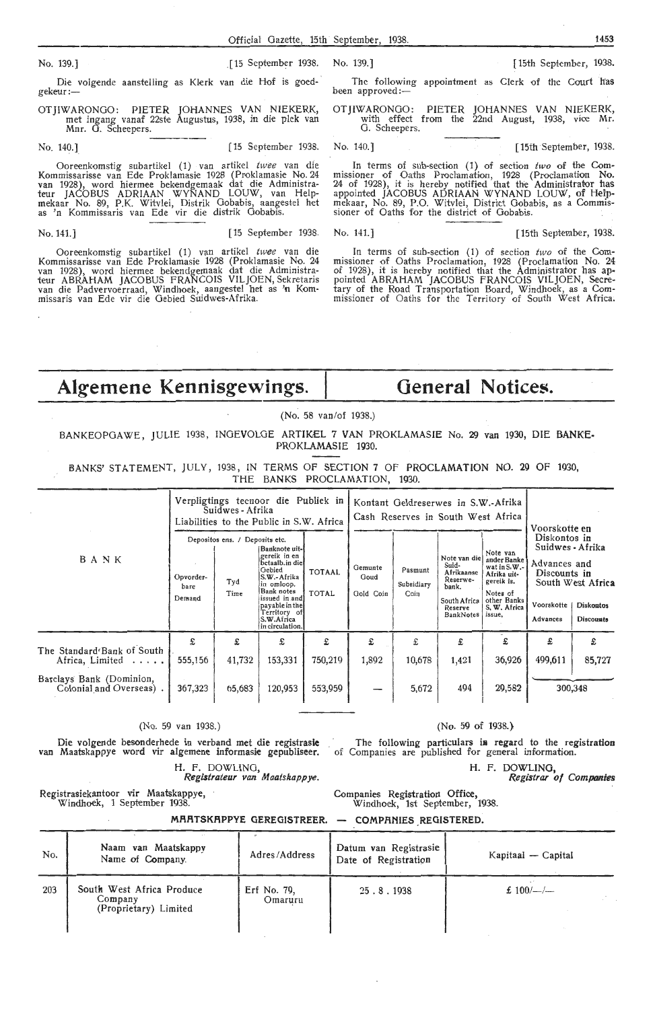Die volgende aanstelling as Klerk van die Hof is goed-gekeur:-

OTJIWARONGO: PIETER JOHANNES VAN NIEKERK, met ingang vanaf 22ste Augustus, 1938, in die plek van<br>Mnr. G. Scheepers.

Ooreenkomstig subartikel (1) van artikel *twee* van die Kommissarisse van Ede Proklamasie 1928 (Proklamasie No. 24<br>van 1928), word hiermee bekendgemaak dat die Administrateur JACOBUS ADRIAAN WYNAND LOUW, van Helpmekaar No. 89, P.K. Witvlei, Distrik Gobabis, aangestel het<br>as 'n Kommissaris van Ede vir die distrik Gobabis.

Ooreenkomstig subartikel (1) van artikel twee van die Kommissarisse van Ede Proklamasie 1928 (Proklamasie No. 24<br>van 1928), word hiermee bekendgemaak dat die Administrateur ABRAHAM JACOBUS FRANCOIS VILJOEN, Sekretaris van die Padvervoerraad, Windhoek, aangestel het as 'n Kommissaris van Ede vir die Gebied Suidwes-Afrika.

No. 139.] [15 September 1938. No. 139.] [ 15th September, 1938.

The following appointment as Clerk of the Court has been approved:

OTJIWARONOO: PIETER JOHANNES VAN NIEKERK, with effect from the 22nd August, 1938, vice Mr. G. Scheepers.

No. 140.] [15 September 1938. No. 140.] [15th September, 1938.

In terms of sub-section (1) of section two of the Commissioner of Oaths Procl-amation, 1928 (Proclamation **No.**  24 of 1928), it is hereby notified that the Administrator has appointed JACOBUS ADRIAAN WYNAND LOUW, of Hel'pmekaar, No. 89, P.O. Witvlei, District Oobabis, as a Commissioner of Oaths for the district of Gobabis.

No. 141.] [15 September 1938. No. 141.] [ 15th September, 1938.

In terms of sub-section (1) of section two of the Commissioner of Oaths Proclamation, 1928 (Proclamation No. 24 of 1928), it is hereby notified that the Administrator has appointed ABRAHAM JACOBUS FRANCOIS VILJOEN, Secretary of the Road Transportation Board, Windhoek, as a Commissioner of Oaths for the Territory of South West Africa.

## **Algemene Kennisgewings. General Notices.**

(No. 58 van/of 1938.)

BANKEOPOAWE, JULIE 1938, INGEVOLOE ARTIKEL 7 VAN PROKLAMASIE No. 29 van 1930, DIE BANKE-PROKLAMASIE 1930.

BANKS' STATEMENT, JULY, 1938, IN TERMS OF SECTION 7 OF PROCLAMATION NO. 29 OF 1930, THE BANKS PROCLAMATION, 1930.

|                                                     | Verpligtings teenoor die Publiek in<br>Suidwes - Afrika<br>Liabilities to the Public in S.W. Africa |                                               |                                                                                                                                                                                              |                               |                              |                                                                                                                                                                                                                                                                                                                                                                                                                                                                                                                                                                                                                                                |  |  |  |
|-----------------------------------------------------|-----------------------------------------------------------------------------------------------------|-----------------------------------------------|----------------------------------------------------------------------------------------------------------------------------------------------------------------------------------------------|-------------------------------|------------------------------|------------------------------------------------------------------------------------------------------------------------------------------------------------------------------------------------------------------------------------------------------------------------------------------------------------------------------------------------------------------------------------------------------------------------------------------------------------------------------------------------------------------------------------------------------------------------------------------------------------------------------------------------|--|--|--|
| <b>BANK</b>                                         | Opvorder-<br>bare<br>Demand                                                                         | Depositos ens. / Deposits etc.<br>Tyd<br>Time | Banknote uit-l<br>gereik in en<br>betaalb.in diel<br>Gebied<br>S.W.- Afrika<br>in omloop.<br>Bank notes<br>issued in andl<br>payable in the<br>Territory of<br>S.W.Africa<br>in circulation. | <b>TOTAAL</b><br><b>TOTAL</b> | Gemunte<br>Goud<br>Gold Coin | Kontant Geldreserwes in S.W.-Afrika<br>Cash Reserves in South West Africa<br>Voorskotte en<br>Diskontos in<br>Suidwes - Afrika<br>Note van<br>Note van die<br>ander Banke<br>Advances and<br>Suid-<br>wat in S.W.-<br>Pasmunt<br>Afrikaanse<br>Discounts in<br>Afrika uit-<br>Reserwe-<br>gereik is.<br>South West Africa<br>Subsidiary<br>bank.<br>Coin<br>Notes of<br>South Africa<br>other Banks<br>Voorskotte<br><b>Diskontos</b><br>S. W. Africa<br>Reserve<br><b>BankNotes</b><br>issue,<br>Advances<br><b>Discounts</b><br>£<br>£<br>£<br>£<br>£<br>10,678<br>499,611<br>1,421<br>36,926<br>85,727<br>5,672<br>494<br>29,582<br>300,348 |  |  |  |
| The Standard Bank of South                          | £                                                                                                   | £                                             | £                                                                                                                                                                                            | £                             | £                            |                                                                                                                                                                                                                                                                                                                                                                                                                                                                                                                                                                                                                                                |  |  |  |
| Africa, Limited                                     | 555,156                                                                                             | 41,732                                        | 153,331                                                                                                                                                                                      | 750,219                       | 1,892                        |                                                                                                                                                                                                                                                                                                                                                                                                                                                                                                                                                                                                                                                |  |  |  |
| Barclays Bank (Dominion,<br>Colonial and Overseas). | 367,323                                                                                             | 65,683                                        | 120,953                                                                                                                                                                                      | 553,959                       |                              |                                                                                                                                                                                                                                                                                                                                                                                                                                                                                                                                                                                                                                                |  |  |  |

(No. 59 van 1938.) (No. 59 of 1938.)

H. F. DOWLING, **Registrateur** *van Maatskappye.* 

Die volgende besonderhede in verband met die registrasie The following particulars in regard to the registration<br>van Maatskappye word vir algemene informasie gepubliseer. of Companies are published for general information.

Companies Registration Office, Windhoek, 1st September, 1938.

H. F. DOWLING,

*Registrar of Companies* 

Registrasiekantoor vir Maatskappye, Windhoek, 1 September 1938.

> **MRATSKAPPYE GEREGISTREER. COMPANIES REGISTERED**

| No. | Naam van Maatskappv<br>Name of Company.                       | Adres/Address          | Datum van Registrasie<br>Date of Registration | Kapitaal — Capital |
|-----|---------------------------------------------------------------|------------------------|-----------------------------------------------|--------------------|
| 203 | South West Africa Produce<br>Company<br>(Proprietary) Limited | Erf No. 79,<br>Omaruru | 25.8.1938                                     | £ $100/-/-$        |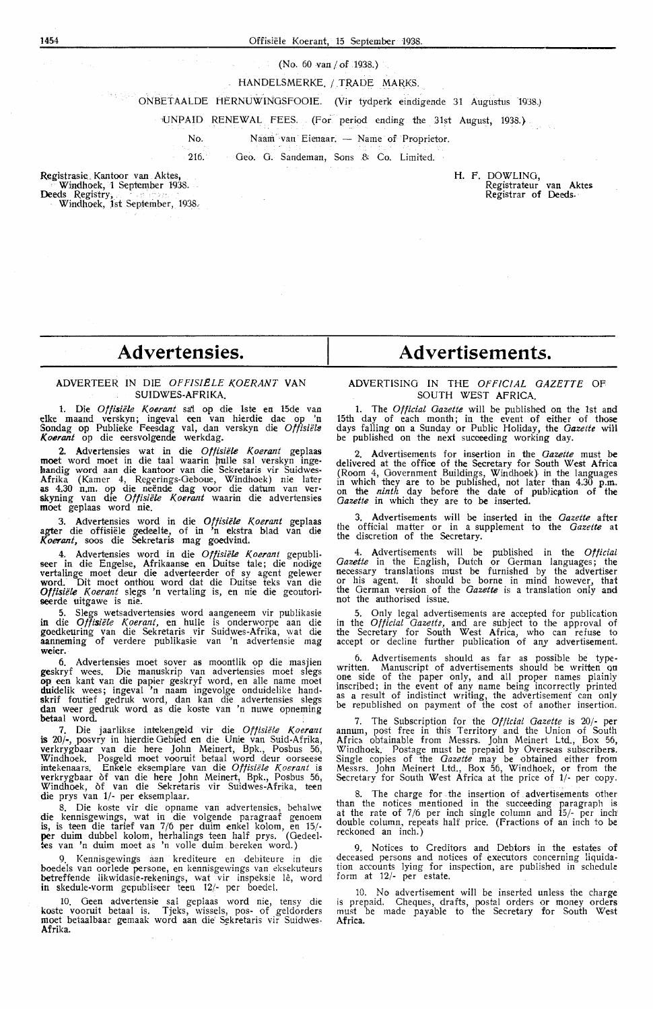#### (No. 60 van/ of 1938.)

#### HANDELSMERKE. / TRADE MARKS.

 $\mathcal{A} \in \mathcal{A}$  , ONBETAALDE HERNUWINOSFOOIE. (Vir tydperk eindigende 31 Augustus 1938.)

UNPAID RENEWAL FEES. (For period ending the 31st August, 1938.}

No. Naam van Eienaar. - Name of Proprietor.

216. Geo. G. Sandeman, Sons & Co. Limited.

Registrasie. Kantoor van Aktes, Windhoek, 1 September 1938. **Deeds** Registry, . Windhoek, Jst September, 1938.

## H. F. DOWLING, Registrateur van Aktes Registrar of Deeds.

## **Advertensies.**

#### ADVERTEER IN DIE *OPF/SIELE KOERANT* **VAN**  SUIDWES-AFRIKA.

**1.** Die *Offisiele Koerant* sa'i op die lste en 15de van dke maand verskyn; ingeval een van Merdie dae op 'n Sondag op Publieke Feesdag val, dan verskyn die *Offisiële Koerant* op die eersvolgende werkdag.

2. Advcrtensies wat in die *Offisiele Koerant* geplaas **moe**t word moet in die taal waarin hulle sal verskyn ingekandig word aan die kantoor van die Sekretaris vir Suidwes-Afrika (Kamer 4, Regerings-Oeboue, Windhoek) nie later<br>**as** 4.30 n.m. op die neënde dag voor die datum van ver-<br>**skyning van die** *Offisiële Koerant* **waarin die advertensies** moet geplaas word nie.

3. Advertenstes word in die *Oflisiele Koerant* geplaas agter die offisiele gedeelte, of in 'n ekstra hlad van die *Koerant,* soos die Sekretaris mag goedvind.

4. Advertensies word in die *Offisiële Koerant* gepubli-<br>seer in die Engelse, Afrikaanse en Duitse tale; die nodige vertalinge moet deur die adverteerder of sy agent gelewer word. Dit moet onthou word dat die Duitse teks van die *Offisiele Koerant* slegs 'n vertaling is, en nie die geoutoriseerde uitgawe is nie.

5. Slegs wetsadvertensies word aangeneem vir publikasie **in** die *Otfisiete Koerant,* en hulk is onderworpe aan die goedkeuring van die Sekretaris vir Suidwes-Afrika, wat die aanneming of verdere publikasie van 'n advertensie mag **weier.** 

6. Advertensies moet sover as moontlik op die masjien geskryf wees. Die manuskrip van advertensies moet slegs **op een** kant van die papier geskryf word, en alle name moet<br>**du**idelik wees; ingeval 'n naam ingevolge onduidelike handskrif foutief gedruk word, dan kan die advertensies slegs dan weer gedruk word as die koste van 'n nuwe opneming betaal word.

7. Die jaarlikse intekengeld vir die Offisiële Koerant is 20/-, posvry in hierdie Gebied en die Unie van Suid-Afrika, verkrygbaar van die here John Meinert, Bpk., Posbus 56, Windhoek. Posgeld moet vooruit betaal word deur oorseese<br>intekenaars. Enkele eksemplare van die *Offisiële Koerant* is verkrygbaar of van die here John Meinert, Bpk., Posbus 56, Windhoek, of van die Sekretaris vir Suidwes-Afrika, teen die prys van 1/- per eksemplaar.

8. Die koste vir die opname van advertensies, behalwe die kennisgewings, wat in die volgende paragraaf genoem is, is teen die tarief van 7/6 per duim enkel kolom, en 15/ per duim dubbel kolom, herhalings teen half prys. (Oedeeltes van 'n duim moet as 'n voile duim bereken word.)

9. Kennisgewings aan krediteure en debiteure in die boedels van oorlede persone, en kennisgewings van eksekuteurs betreffende likwidasie-rekenings, wat vir inspeksie lê, word in skedule-vorm gepubliseer teen 12/- per boedel.

10. Oeen advertensie sal geplaas word nie, tensy die koste vooruit betaal is. Tjeks, wissels, pos- of geldorders moet betaalbaar gemaak word aan die Sekretaris vir Suidwes-**Afrika.** 

## **Advertisements.**

#### ADVERTISING **IN** THE *OFFICIAL GAZETTE* OF SOUTH WEST AFRICA.

1. The *Official Gazette* will be published on the 1st and 15th day of each month; in the event of either of those days falling on a Sunday or Public Holiday, the *Gazette* will be published on the next succeeding working day.

Advertisements for insertion in the *Gazette* must be delivered at the office of the Secretary for South West Africa (Room 4, Government Buildings, Windhoek) in the languages in which they are to be published, not later than 4.30 p.m. on the *ninth* day before the date of publicjition of the *Gazette* in which they are to be inserted.

3. Advertisements will be inserted in the *Gazette* after the official matter or in a supplement to the *Gazette* at the discretion of the Secretary.

4. Advertisements will be published in the *Official Gazette* in the English, Dutch or German languages; the necessary translations must be furnished by the advertiser or his agent. It should be borne in mind howevef, that the German version of the *Gazette* is a translation only and not the authorised issue.

5. Only legal advertisements are accepted for publication in the *Official Gazette,* and are subject to the approval of the Secretary for South West Africa, who can refuse to accept or decline further publication of any advertisement.

6. Advertisements should as far as possible be typewritten. Manuscript of advertisements should be written on<br>one side of the paper only, and all proper names plainly inscribed; in the event of any name being incorrectly printed as a result of indistinct writing, the advertisement can only be republished on payment of the cost of another insertion.

7. The Subscription for the *Official Gazette* is 20/- per annum, post free in this Territory and the Union of South Africa obtainable from Messrs. John Meinert Ltd., Box 56, Windhoek. Postage must be prepaid by Overseas subscribers. Single copies of the *Gazette* may be obtained either from Messrs. John Meinert Ltd., Box 56, Windhoek, or from the Secretary for South West Africa at the price of 1/- per copy.

8. The charge for the insertion of advertisements other than the notices mentioned in the succeeding paragraph is at the rate of  $7/6$  per inch single column and  $15/-$  per inch double column, repeats halt price. (Fractions of an inch to be reckoned an inch.)

9. Notices to Creditors and Debtors in the estates of deceased persons and notices of executors concerning liquidation accounts lying for inspection, are published in schedule form at  $12/-$  per estate.

10. No advertisement will be inserted unless the charge is prepaid. Cheques, drafts, postal orders or money orders must be made payable to the Secretary for South West **Africa.**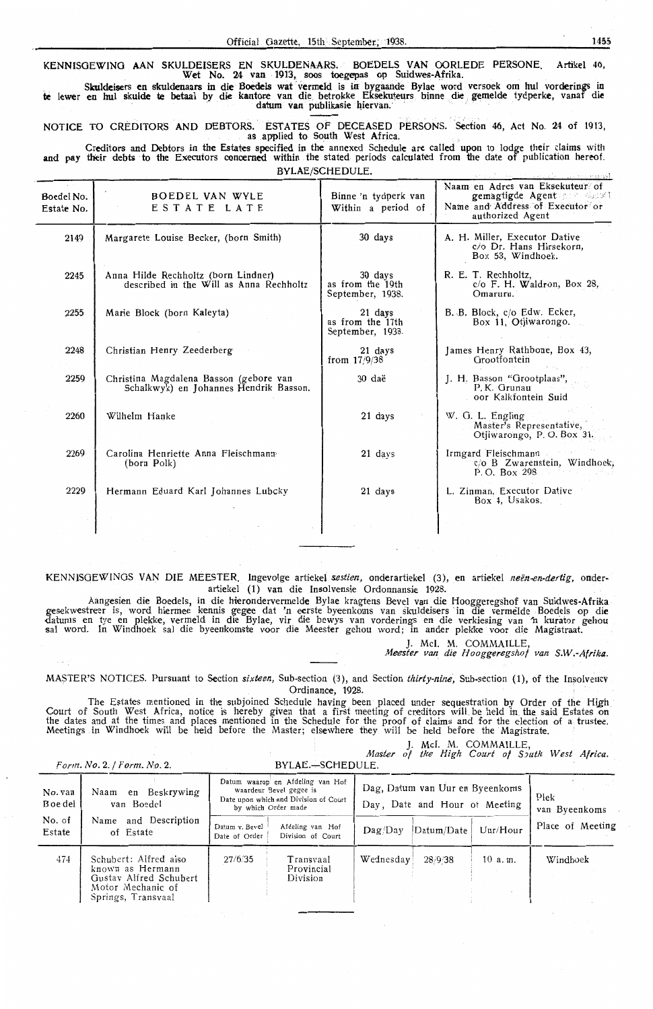KENNISGEWING AAN SKULDEISERS EN SKULDENAARS. . BOEDELS VAN OORLEDE PERSONE. Artikel 46,<br>Wet No. 24 van 1913, soos toegepas op Suidwes-Afrika.

Skuldeisers en skuldenaars in die Boedels wat vermeld is in bygaande Bylae word versoek om hul vorderings in te !ewer en hul skulde te betaal by die kantore van die\_ betrokke Eksekuteqrs binne die , gemelde tydperke, vanaf di~ - · · datuni van publikasie ltiervan. · · · -·- ' · · · ·

NOTICE TO CREDITORS AND DEBTORS. ESTATES OF DECEASED PERSONS. Section 46, Act No. 24 of 1913, as applied to South West Africa.

Creditors and Debtors in the Estates specified in the annexed Schedule are called upon to lodge their claims with and pay their debts to the Executors concerned within the stated periods calculated from the date of publication hereof. BYLAE/SCHEOULE.

|                          |                                                                                  | ,,,,,,,,,,,,,,,,,,,,                            | i ja mai mergel                                                                                                      |
|--------------------------|----------------------------------------------------------------------------------|-------------------------------------------------|----------------------------------------------------------------------------------------------------------------------|
| Boedel No.<br>Estate No. | <b>BOEDEL VAN WYLE</b><br>ESTATE LATE                                            | Binne 'n tydperk van<br>Within a period of      | Naam en Adres van Eksekuteur of<br>gemagtigde Agent and short<br>Name and Address of Executor or<br>authorized Agent |
| 2149                     | Margarete Louise Becker, (born Smith)                                            | 30 days                                         | A. H. Miller, Executor Dative<br>c/o Dr. Hans Hirsekorn,<br>Box 53, Windhoek.                                        |
| 2245<br>contractors      | Anna Hilde Rechholtz (born Lindner)<br>described in the Will as Anna Rechholtz   | 30 days<br>as from the 19th<br>September, 1938. | R. E. T. Rechholtz,<br>$c$ /o F. H. Waldron, Box 28,<br>Omaruru.                                                     |
| 2255                     | Marie Block (born Kaleyta)                                                       | 21 days<br>as from the 17th<br>September, 1938. | B. B. Block, c/o Edw. Ecker,<br>Box 11. Otiiwarongo.                                                                 |
| 2248                     | Christian Henry Zeederberg                                                       | 21 days<br>from $17/9/38$                       | James Henry Rathbone, Box 43,<br>Grootfontein                                                                        |
| 2259                     | Christina Magdalena Basson (gebore van<br>Schalkwyk) en Johannes Hendrik Basson. | 30 daë                                          | J. H. Basson "Grootplaas",<br>P.K. Grunau<br>oor Kalkfontein Suid                                                    |
| 2260                     | Wilhelm Hanke                                                                    | 21 days                                         | W. G. L. Engling<br>Master's Representative,<br>Otjiwarongo, P.O. Box 31.                                            |
| 2269                     | Carolina Henriette Anna Fleischmann<br>(born Polk)                               | 21 days                                         | Irmgard Fleischmann<br>c/o B Zwarenstein, Windhoek;<br>P.O. Box 298                                                  |
| 2229                     | Hermann Eduard Karl Johannes Lubcky                                              | 21 days                                         | L. Zinman, Executor Dative<br>Box 4, Usakos.                                                                         |
|                          |                                                                                  |                                                 |                                                                                                                      |

KENNJSOEWINOS VAN DIE MEESTER. lngevolge artiekei *sestien,* onderartiekel (3), en artiekel *neen-en-dertig,* onderartiekel (1) van die Insolvensie Ordonnansie 1928.

Aangesien die Boedels, in die hierondervennelde Bylae kragtens Bevel van die Hooggeregshof van Suidwes-Afrika gesekwestreer is, word hiermee lrennis gegee dat 'n eerste byeenkoms van skuldeisers · in die vermelde Boedels op **die**  datums en tye en plekke, vermeld in die Bylae, vir die bewys van vorderings en die verkiesing van 'n kurator gehou sal word. In Windhoek sal die byeenkomste voor die Meester gehou word; in ander pleklke voor die Magistraat.

J. Mel. M. COMMAILLE,

*Meester van\_ die Hoogg-eregshof van S.W.-Afrika.* 

MASTER'S NOTICES. Pursuant to Section *sixteen,* Sub-section (3), and Section *thirty-nine;* Sub-section (1), of the Insolvencv Ordinance, 1928.

The Estates mentioned in the subjoined Schedule having been placed under sequestration by Order of the High Court of South West Africa, notice is hereby given that a first meeting of creditors will be held in the said Estates on<br>the dates and at the times and places mentioned in the Schedule for the proof of claims and for the e Meetings in Windhoek will be held before the Master; elsewhere they will be held before the Magistrate.

J. Mel. M. COMMAILLE,

|                       |                                                    | Master of the High Court of South West Africa. |  |  |  |  |
|-----------------------|----------------------------------------------------|------------------------------------------------|--|--|--|--|
| Form No 2 I Form No 2 | $RVI$ $\Delta F$ $\equiv$ $C$ $H$ $F$ $I$ $II$ $F$ |                                                |  |  |  |  |

|                     |                                                                                                                | <u> PILAL – SCHLOVEC</u>                                                                                                    |                                                                  |                       |  |
|---------------------|----------------------------------------------------------------------------------------------------------------|-----------------------------------------------------------------------------------------------------------------------------|------------------------------------------------------------------|-----------------------|--|
| No. van<br>B oe del | Beskrywing<br>Naam<br>en<br>van Boedel                                                                         | Datum waarop en Afdeling van Hof<br>waardeur Bevel gegee is<br>Date upon which and Division of Court<br>by which Order made | Dag, Datum van Uur en Byeenkoms<br>Day, Date and Hour of Meeting | Plek<br>van Byeenkoms |  |
| No. of<br>Estate    | and Description<br>Name<br>of Estate                                                                           | Datum v. Bevel<br>Afdeling van Hof<br>Date of Order<br>Division of Court                                                    | Datum/Date<br>Uur/Hour<br>$\mathbf{D}$ ag/ $\mathbf{D}$ ay       | Place of Meeting      |  |
| 474                 | Schubert: Alfred also<br>known as Hermann<br>Gustav Alfred Schubert<br>Motor Mechanic of<br>Springs, Transvaal | 27/6/35<br>Transvaal<br>Provincial<br>Division                                                                              | Wednesday<br>28/9/38<br>10a.m.                                   | Windhoek              |  |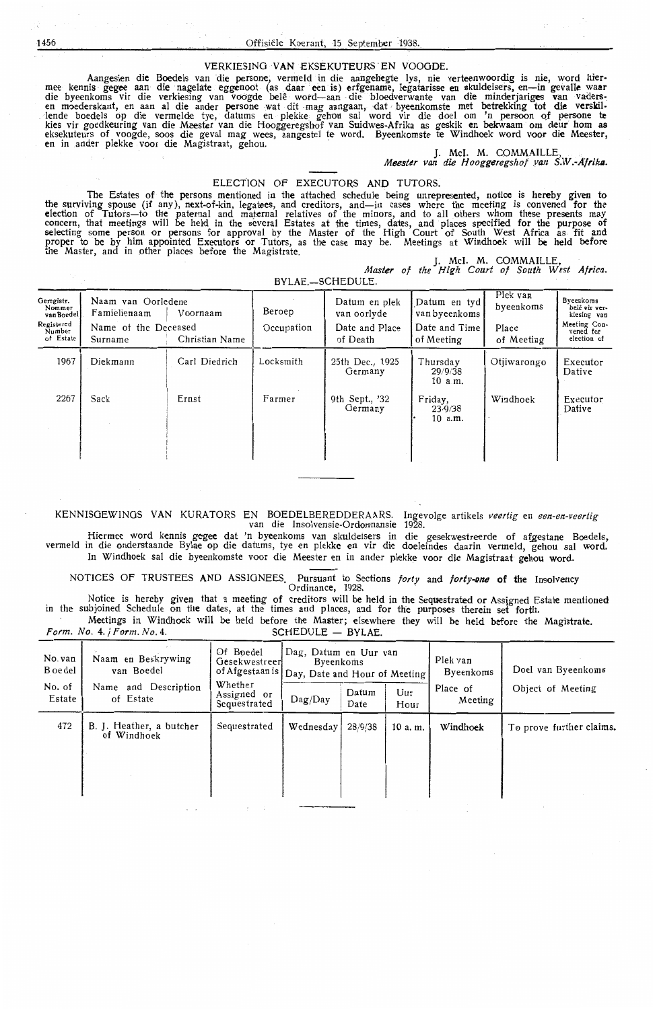VERKIESING VAN EKSEKUTEURS EN VOOGDE.<br>Aangesien die Boedels van die persone, vermeld in die aangehegte lys, nie verteenwoordig is nie, word hier-Aangesien die Boedels van die persone, vermeld in die aangehegte lys, nie verteenwoordig is nie, word hier-<br>mee kennis gegee aan die nagelate eggenoot (as daar een is) erfgename, legatarisse en skuldeisers, en—in gevalle w lende boedels op die vermelde tye, datums en plekke gehou sal word vir die doel om 'n persoon of persone **tc**  kies vir goedkeuring van die Meester van die Hooggeregshof van Suidwes-Afrika as geskik en bekwaam om deur hom as<br>eksekuteurs of voogde, soos die geval mag wees, aangestel te word. Byeenkomste te Windhoek word voor die Mee

#### ELECTION OF EXECUTORS AND TUTORS.

The Estates of the persons mentioned in the attached schedule being unrepresented, notice is hereby given to<br>the surviving spouse (if any), next-of-kin, legatees, and creditors, and—in cases where the meeting is convened f election of Tutors-to the paternal and maternal relatives of the minors, and to all others whom these presents may concern, that meetings will be held in the several Estates at the times, dates, and places specified for the purpose of selecting some person or persons for approval by the Master of the High Court of South West Africa as fit and proper *to* be by · him appointed Executors or Tutors, as the case may be. Meetings at Windhoek will **be** held before the Master, and in other places before the Magistrate.<br>
J. McI. M. COMMAILLE,

**Master** *of the High Court of South West* **Africa.** 

BYLAE.-SCHEDULE.

| Geregistr.<br>Nommer<br>van Boedel<br>Registered<br>Number<br>of Estate | Naam van Oorledene<br>Famielienaam<br>Name of the Deceased<br>Surname | Voornaam<br>Christian Name | Beroep<br>Occupation | Datum en plek<br>van oorlyde<br>Date and Place<br>of Death | Datum en tyd<br>van byeenkoms<br>Date and Time<br>of Meeting | Plek van<br>byeenkoms<br>Place<br>of Meeting | Byeenkoms<br>belê vir ver-<br>kiesing van<br>Meeting Con-<br>vened for<br>election of |
|-------------------------------------------------------------------------|-----------------------------------------------------------------------|----------------------------|----------------------|------------------------------------------------------------|--------------------------------------------------------------|----------------------------------------------|---------------------------------------------------------------------------------------|
| 1967                                                                    | Diekmann                                                              | Carl Diedrich              | Locksmith            | 25th Dec., 1925<br>Germany                                 | Thursday<br>29/9/38<br>10 a.m.                               | Otiiwarongo                                  | Executor<br>Dative                                                                    |
| 2267                                                                    | Sack                                                                  | Ernst                      | Farmer               | 9th Sept., '32<br>Germany                                  | Friday,<br>23/9/38<br>10 a.m.                                | Windhoek                                     | Executor<br>Dative                                                                    |

KENNISGEWINGS VAN KURATORS EN BOEDELBEREDDERAARS. Ingevolge artikels *veertig* en *een-en-veertig* van die Insolvensie-Ordonnansie 1928.

Hiermee word kennis gegee dat 'n byeenkoms van skuldeisers in die gesekwestreerde of afgestane Boedels, vermeld in die onderstaande Bylae op die datums, tye en plekke en vir die doeleindes daarin vermeld, gehou sal word. In Windhoek sal die byeenkomste voor die Meester en in ander plekke voor die Magistraat gehou word.

NOTICES OF TRUSTEES **AND** ASSIGNEES. Pursuant to Sections *forty* and **forty-one of the** Insolvency

Ordinance, 1928.

Notice is hereby given that a meeting of creditors will be held in the Sequestrated or Assigned Estate mentioned in the subjoined Schedule on **the** dates, at the times and places, and for the purposes therein set forth. Meetings in Windhoek will be held before the Master; elsewhere they will be held before the Magistrate.<br>Vo. 4. / Form. No. 4. SCHEDULE - BYLAE. *Form. No. 4. | Form. No. 4* 

No. van Naam en Beskrywing Of Boedel Dag, Datum en Uur van Plek van Boedel van Boedel Gesekwestreer Byeenkoms Piek van Boedel van Boedel (Dav. Date and Hour of Meeting Byeenkoms B of Afgestaan is Day, Date and Hour of Meeting Byeenkoms Doel van Byeenkoms Vhether No. of Name and Description Whether  $\begin{array}{c|c} \text{Whether} \\ \text{Assigned} \\ \end{array}$ Io. of Name and Description Whether<br>
Estate of Estate Sequestrated Dag/Day Datum Uur Place of Object of Meeting<br>
Sequestrated Dag/Day Date Hour Meeting 472  $\left| \begin{array}{c} B. \end{array} \right|$  B. J. Heather, a butcher  $bequestrated \t\{Wednesday\}$  28/9/38 | 10 a. m. **Windhoek** | To prove further claims.

1456 Offisiele Koerant, 15 September 1938.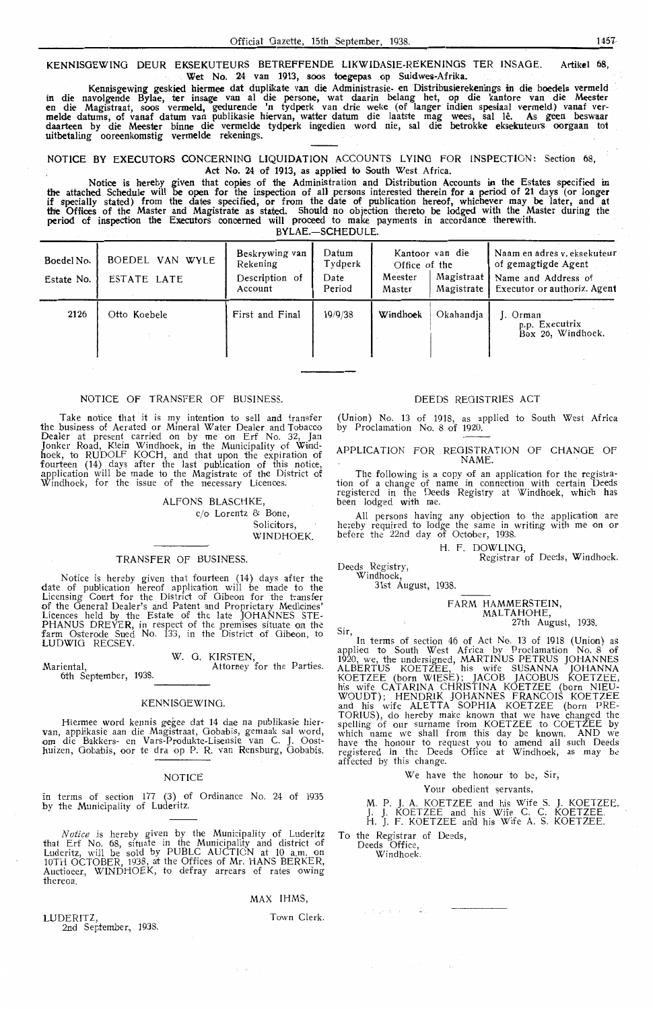**KENNISGEWINO** DEUR EKSEKUTEURS BETREFFENDE LIKWIDASIE-REKENINOS TER INSAOE. Artikel 68, Wet No. 24 van 1913, soos toegepas op Suidwes-Afrika.

Kennisgewing geskied hiermee dat duplikate van die Administrasie- en Distribusierekenings in die boedels vermeld in die navolgende Bylae, ter insage van al die persone, wat daarin belang het, op die kantore van die Meester<br>en die Magistraat, soos vermeld, gedurende 'n tydperk van drie weke (of langer indien spesiaal vermeld) vanaf<br>me daarteen by die Meester binne die vermelde tydperk ingedien word nie, sat die betrokke eksekuteurs oorgaan tot uitbetaling ooreenkomstig vermelde rekenings.

NOTICE BY EXECUTORS CONCERNING LIQUIDATION ACCOUNTS LYING FOR INSPECTION: Section 68, Act No. 24 of 1913, as applied to South West Africa.

Notice is hereby given that copies of the Administration and Distribution Accounts in the Estates specified in the attached Schedule will be open for the inspection of ali persons interested therein for a period of 21 days (or longer if specially stated) from the dates specified, or from the date of publication hereof, whichever may be later, and at the Offices of the Master and Magistrate as stated. Should no objection thereto be lodged with the Master during the **period** of inspection the Executors concerned will proceed to make payments in accordance therewith. BYLAE.-SCHEDULE.

Boedel No. BOEDEL VAN WYLE Beskrywing van Datum Kantoor van die Naam en adres v. eksekuteur<br>Tydperk Office of the of gemagtigde Agent Estate No. ESTATE LATE Description of Date Meester Magistrate Magistraat | Name and Address of Executor or authoriz. Agent 2126 Otto Koebele First and Final 19/9/38 **Windhoek** Okahandja J. Orman p.p. Executrix Box 26, Windhoek.

## NOTICE OF TRANSFER OF BUSINESS.

Take notice that it is my intention to sell and transfer the business of Aerated or Mineral Water Dealer and Tobacco Dealer at present carried on by me on Erf No. 32, Jan<br>Jonker Road, Klein Windhoek, in the Municipality of Windhoek, to RUDOLF KOCH, and that upon the expiration of fourteen (14) days after the last publication of this notice, application will be made to the Magistrate of the District of Windhoek, for the issue of the necessary Licences.

ALFONS BLASCHKE,

c/o Lorentz & Bone, Solicitors,

WINDHOEK.

#### TRANSFER OF BUSINESS.

Notice is hereby given that fourteen (14) days after the date of publication hereof application will be made to the Licensing Court for the District of Oiboon for the transfer of the General' Dealer's and Patent and Proprietary Medicines' Licences held by the Estate of the late JOHANNES STE-<br>PHANUS DREYER, in respect of the premises situate on the farm Osterode Sued No. 133, in the District of Oibeon, to LUDWIG RECSEY.

W. 0. KIRSTEN,

Mariental, Attorney for the Parties. 6th September, 1938.

#### KENNISGEWINO.

Hiermee word kennis gegee dat 14 dae na publikasie hier- van, applikasie aan die Magistraat, Gobabis, gemaak sal word, .om die Bakkers- en Vars-Produkte-Lisensie van C. J. Oosthuizen, Gobabis, oor te dra op P. R. van Rensburg, Gobabis.

#### NOTICE

in terms of section 177 (3) of Ordinance No. 24 of 1935 by the Municipality of Luderitz.

*Notice is* herebv given by the Municipality of Luderitz that Erf No. 68, situate in the Municipality and district of Luderitz, will be sold by PUBLC AUCTION at 10 a.m. on<br>10TH OCTOBER, 1938, at the Offices of Mr. HANS BERKER, Auctioeer,, WINDHOEK, to defray arrears of raks owing thereon.

#### MAX !HMS,

LUDERITZ, 2nd September, 1938. Town Clerk.

## DEEDS REGISTRIES ACT

(Union) No. 13 of 1918, as applied to South West Africa by Proclamation No. 8 of 1920.

APPLICATION FOR REGISTRATION OF CHANGE OF NAME.

The following is a copy of an application for the registration of a change of name in connection with eertain Deeds registered in the Deeds Registry at Windhoek, which has been lodged with me.

All persons having any objection to the application are hereby required to lodge the same in writing with me on or before the 22nd day of October, 1938.

H. F. DOWLING,

Registrar of Deeds, Windhoek.

Deeds Registry, Windhoek,

31st August, 1938.

### FARM HAMMERSTEIN,

MALTAHOHE, 27th August, 1938.

Sir, In terms of section 46 of Act No. 13 of 1918 (Union) as applied to South West Africa by Proclamation No. 8 of 1920, we, the undersigned, MARTINUS PETRUS JOHANNES ALBERTUS KOETZEE, his wife SUSANNA JOHANNA KOETZEE (born WIESE); JACOB JACOBUS KOETZEE, his wife CATARINA CHRISTINA KOETZEE (born NIEU-WOUDT); HENDRIK JOHANNES FRANCOIS KOETZEE and his wife ALETTA SOPHIA KOETZEE (born PRE-<br>TORIUS), do hereby make known that we have changed the<br>spelling of our surname from KOETZEE to COETZEE by which name we shall from this day be known. AND we have the honour to request you to amend all such Deeds registered in the Deeds Office at Windhoek, as may be affected by this change.

We have the honour to be, Sir,

#### Your obedient servants,

M. P. J. A. KOETZEE and his Wife S. J. KOETZEE. J. J. KOETZEE and his Wife C. C. KOETZEE. H. J. F. KOETZEE an'd his Wife A. S. KOETZEE.

To the Registrar of Deeds, Deeds Office,

Windhoek.